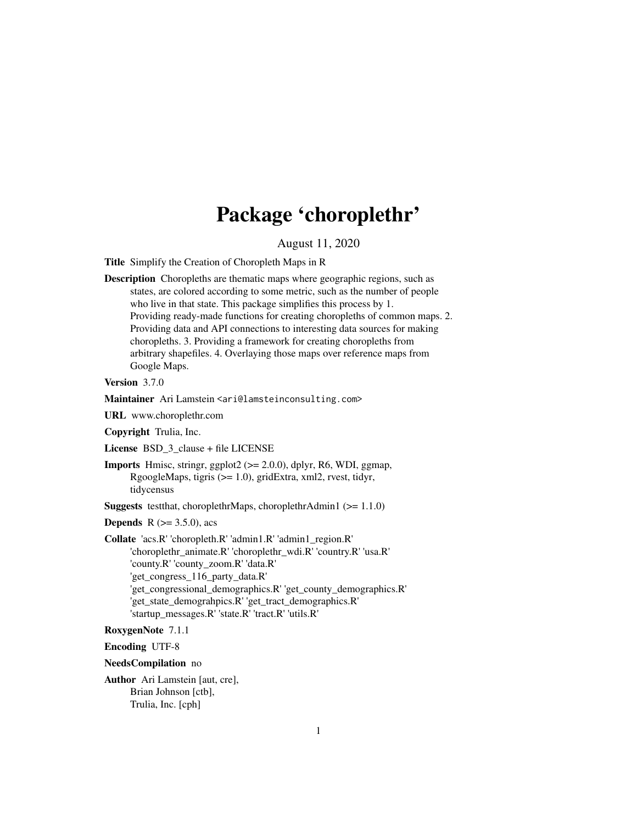# Package 'choroplethr'

August 11, 2020

<span id="page-0-0"></span>Title Simplify the Creation of Choropleth Maps in R

Description Choropleths are thematic maps where geographic regions, such as states, are colored according to some metric, such as the number of people who live in that state. This package simplifies this process by 1. Providing ready-made functions for creating choropleths of common maps. 2. Providing data and API connections to interesting data sources for making choropleths. 3. Providing a framework for creating choropleths from arbitrary shapefiles. 4. Overlaying those maps over reference maps from Google Maps.

Version 3.7.0

Maintainer Ari Lamstein <ari@lamsteinconsulting.com>

URL www.choroplethr.com

Copyright Trulia, Inc.

License BSD\_3\_clause + file LICENSE

**Imports** Hmisc, stringr, ggplot $2$  ( $> = 2.0.0$ ), dplyr, R6, WDI, ggmap, RgoogleMaps, tigris (>= 1.0), gridExtra, xml2, rvest, tidyr, tidycensus

**Suggests** testthat, choroplethrMaps, choroplethrAdmin1 ( $> = 1.1.0$ )

**Depends** R  $(>= 3.5.0)$ , acs

Collate 'acs.R' 'choropleth.R' 'admin1.R' 'admin1\_region.R' 'choroplethr\_animate.R' 'choroplethr\_wdi.R' 'country.R' 'usa.R' 'county.R' 'county\_zoom.R' 'data.R' 'get\_congress\_116\_party\_data.R' 'get\_congressional\_demographics.R' 'get\_county\_demographics.R' 'get\_state\_demograhpics.R' 'get\_tract\_demographics.R' 'startup\_messages.R' 'state.R' 'tract.R' 'utils.R'

RoxygenNote 7.1.1

Encoding UTF-8

NeedsCompilation no

Author Ari Lamstein [aut, cre], Brian Johnson [ctb], Trulia, Inc. [cph]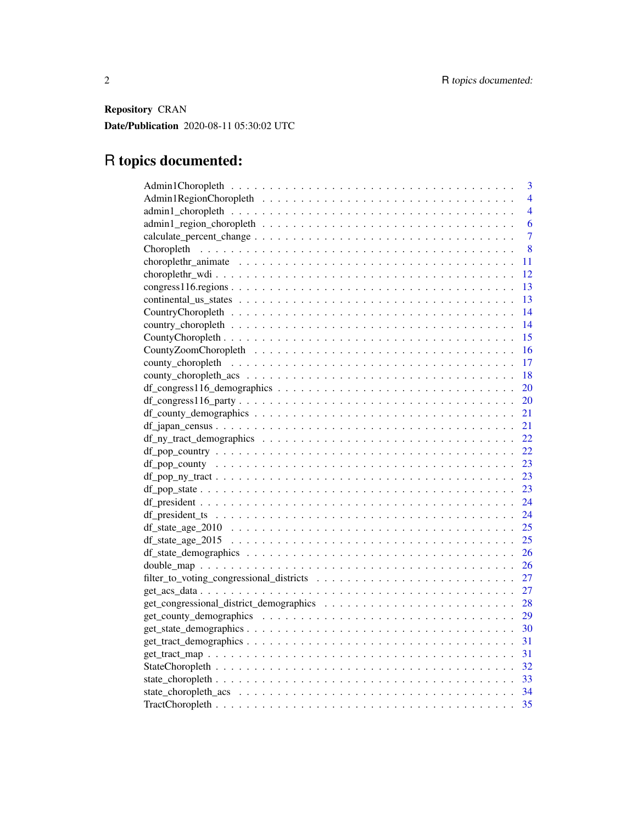Repository CRAN

Date/Publication 2020-08-11 05:30:02 UTC

# R topics documented:

| 3                                                                                                                       |
|-------------------------------------------------------------------------------------------------------------------------|
| $\overline{4}$                                                                                                          |
| $\overline{4}$                                                                                                          |
| 6                                                                                                                       |
| $\overline{7}$                                                                                                          |
| 8                                                                                                                       |
| 11                                                                                                                      |
| 12                                                                                                                      |
| $congress116. regions \ldots \ldots \ldots \ldots \ldots \ldots \ldots \ldots \ldots \ldots \ldots \ldots \ldots$<br>13 |
|                                                                                                                         |
| 14                                                                                                                      |
| 14                                                                                                                      |
| -15                                                                                                                     |
| 16                                                                                                                      |
| 17                                                                                                                      |
| 18                                                                                                                      |
| <b>20</b>                                                                                                               |
|                                                                                                                         |
| 21                                                                                                                      |
|                                                                                                                         |
|                                                                                                                         |
| 22                                                                                                                      |
|                                                                                                                         |
| 23                                                                                                                      |
| 23                                                                                                                      |
| 24                                                                                                                      |
|                                                                                                                         |
|                                                                                                                         |
| 25                                                                                                                      |
|                                                                                                                         |
| 26                                                                                                                      |
|                                                                                                                         |
| 27                                                                                                                      |
| 28                                                                                                                      |
|                                                                                                                         |
|                                                                                                                         |
| -31                                                                                                                     |
|                                                                                                                         |
|                                                                                                                         |
|                                                                                                                         |
|                                                                                                                         |
| 35                                                                                                                      |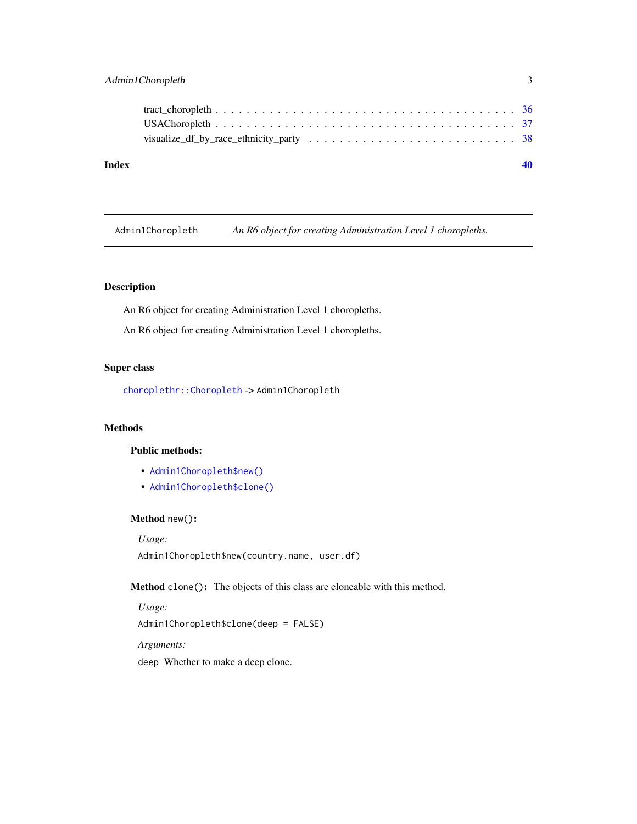<span id="page-2-0"></span>

Admin1Choropleth *An R6 object for creating Administration Level 1 choropleths.*

# Description

An R6 object for creating Administration Level 1 choropleths.

An R6 object for creating Administration Level 1 choropleths.

# Super class

[choroplethr::Choropleth](#page-0-0) -> Admin1Choropleth

#### Methods

#### Public methods:

- [Admin1Choropleth\\$new\(\)](#page-2-1)
- [Admin1Choropleth\\$clone\(\)](#page-2-2)

#### <span id="page-2-1"></span>Method new():

*Usage:* Admin1Choropleth\$new(country.name, user.df)

<span id="page-2-2"></span>Method clone(): The objects of this class are cloneable with this method.

*Usage:* Admin1Choropleth\$clone(deep = FALSE)

*Arguments:*

deep Whether to make a deep clone.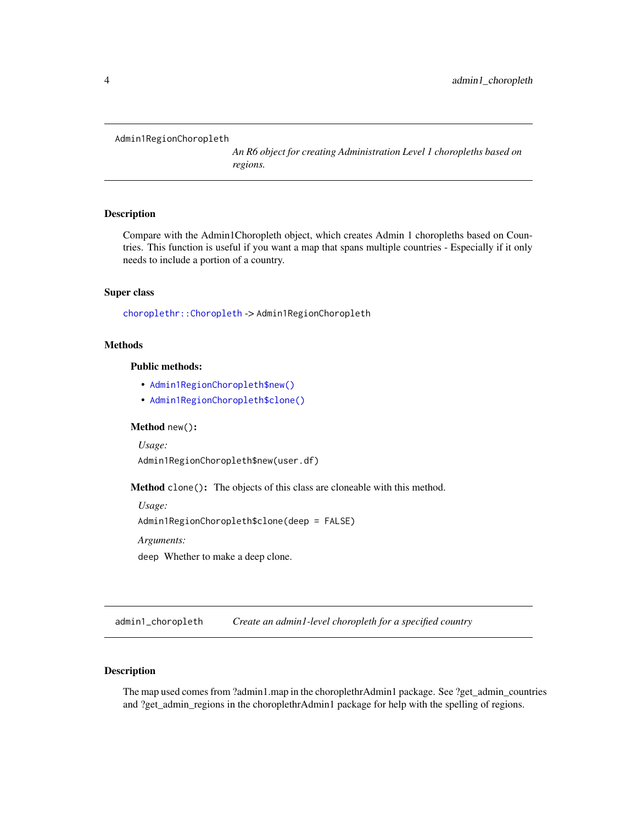```
Admin1RegionChoropleth
```
*An R6 object for creating Administration Level 1 choropleths based on regions.*

#### Description

Compare with the Admin1Choropleth object, which creates Admin 1 choropleths based on Countries. This function is useful if you want a map that spans multiple countries - Especially if it only needs to include a portion of a country.

# Super class

```
choroplethr::Choropleth -> Admin1RegionChoropleth
```
#### Methods

Public methods:

- [Admin1RegionChoropleth\\$new\(\)](#page-2-1)
- [Admin1RegionChoropleth\\$clone\(\)](#page-2-2)

#### Method new():

*Usage:* Admin1RegionChoropleth\$new(user.df)

Method clone(): The objects of this class are cloneable with this method.

*Usage:*

Admin1RegionChoropleth\$clone(deep = FALSE)

*Arguments:*

deep Whether to make a deep clone.

admin1\_choropleth *Create an admin1-level choropleth for a specified country*

# Description

The map used comes from ?admin1.map in the choroplethrAdmin1 package. See ?get\_admin\_countries and ?get\_admin\_regions in the choroplethrAdmin1 package for help with the spelling of regions.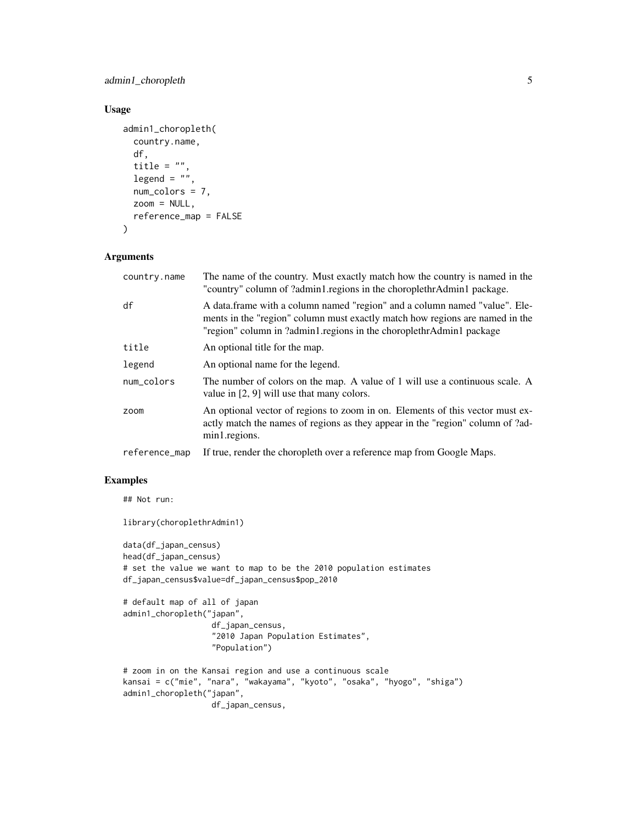admin1\_choropleth 5

# Usage

```
admin1_choropleth(
  country.name,
  df,
  title = ",
  legend = ",
 num_colors = 7,
 zoom = NULL,
 reference_map = FALSE
)
```
# Arguments

| country.name  | The name of the country. Must exactly match how the country is named in the<br>"country" column of ?admin1.regions in the choroplethrAdmin1 package.                                                                              |
|---------------|-----------------------------------------------------------------------------------------------------------------------------------------------------------------------------------------------------------------------------------|
| df            | A data frame with a column named "region" and a column named "value". Ele-<br>ments in the "region" column must exactly match how regions are named in the<br>"region" column in ?admin1.regions in the choroplethrAdmin1 package |
| title         | An optional title for the map.                                                                                                                                                                                                    |
| legend        | An optional name for the legend.                                                                                                                                                                                                  |
| num_colors    | The number of colors on the map. A value of 1 will use a continuous scale. A<br>value in $[2, 9]$ will use that many colors.                                                                                                      |
| zoom          | An optional vector of regions to zoom in on. Elements of this vector must ex-<br>actly match the names of regions as they appear in the "region" column of ?ad-<br>min1.regions.                                                  |
| reference_map | If true, render the choropleth over a reference map from Google Maps.                                                                                                                                                             |

# Examples

## Not run:

library(choroplethrAdmin1)

```
data(df_japan_census)
head(df_japan_census)
# set the value we want to map to be the 2010 population estimates
df_japan_census$value=df_japan_census$pop_2010
```

```
# default map of all of japan
admin1_choropleth("japan",
                  df_japan_census,
                   "2010 Japan Population Estimates",
                   "Population")
# zoom in on the Kansai region and use a continuous scale
kansai = c("mie", "nara", "wakayama", "kyoto", "osaka", "hyogo", "shiga")
admin1_choropleth("japan",
                  df_japan_census,
```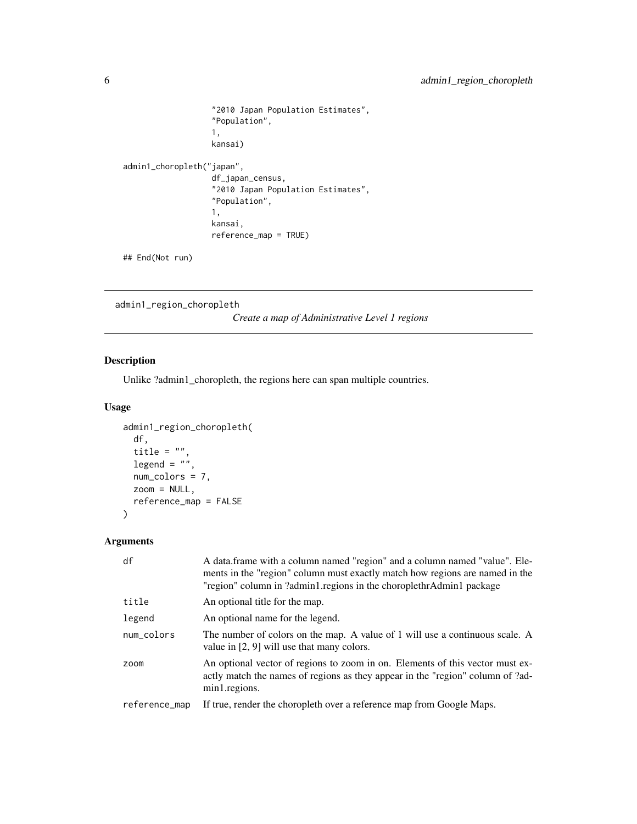```
"2010 Japan Population Estimates",
                   "Population",
                   1,
                   kansai)
admin1_choropleth("japan",
                   df_japan_census,
                   "2010 Japan Population Estimates",
                   "Population",
                   1,
                   kansai,
                   reference_map = TRUE)
```
## End(Not run)

```
admin1_region_choropleth
```
*Create a map of Administrative Level 1 regions*

# Description

Unlike ?admin1\_choropleth, the regions here can span multiple countries.

# Usage

```
admin1_region_choropleth(
 df,
 title = ",
 legend = ",
 num_colors = 7,
 zoom = NULL,
 reference_map = FALSE
)
```
# Arguments

| df            | A data.frame with a column named "region" and a column named "value". Ele-<br>ments in the "region" column must exactly match how regions are named in the<br>"region" column in ?admin1.regions in the choroplethrAdmin1 package |
|---------------|-----------------------------------------------------------------------------------------------------------------------------------------------------------------------------------------------------------------------------------|
| title         | An optional title for the map.                                                                                                                                                                                                    |
| legend        | An optional name for the legend.                                                                                                                                                                                                  |
| num_colors    | The number of colors on the map. A value of 1 will use a continuous scale. A<br>value in $[2, 9]$ will use that many colors.                                                                                                      |
| zoom          | An optional vector of regions to zoom in on. Elements of this vector must ex-<br>actly match the names of regions as they appear in the "region" column of ?ad-<br>min1.regions.                                                  |
| reference_map | If true, render the choropleth over a reference map from Google Maps.                                                                                                                                                             |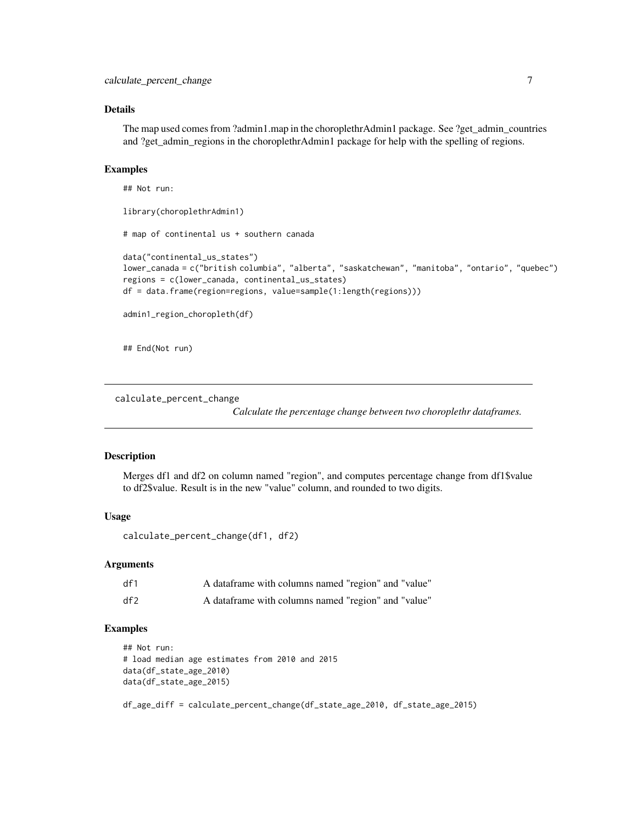# <span id="page-6-0"></span>Details

The map used comes from ?admin1.map in the choroplethrAdmin1 package. See ?get\_admin\_countries and ?get\_admin\_regions in the choroplethrAdmin1 package for help with the spelling of regions.

#### Examples

```
## Not run:
library(choroplethrAdmin1)
# map of continental us + southern canada
data("continental_us_states")
lower_canada = c("british columbia", "alberta", "saskatchewan", "manitoba", "ontario", "quebec")
regions = c(lower_canada, continental_us_states)
df = data.frame(region=regions, value=sample(1:length(regions)))
admin1_region_choropleth(df)
## End(Not run)
```
calculate\_percent\_change

*Calculate the percentage change between two choroplethr dataframes.*

#### Description

Merges df1 and df2 on column named "region", and computes percentage change from df1\$value to df2\$value. Result is in the new "value" column, and rounded to two digits.

#### Usage

```
calculate_percent_change(df1, df2)
```
# **Arguments**

| df1 | A dataframe with columns named "region" and "value"  |
|-----|------------------------------------------------------|
| df2 | A data frame with columns named "region" and "value" |

#### Examples

```
## Not run:
# load median age estimates from 2010 and 2015
data(df_state_age_2010)
data(df_state_age_2015)
```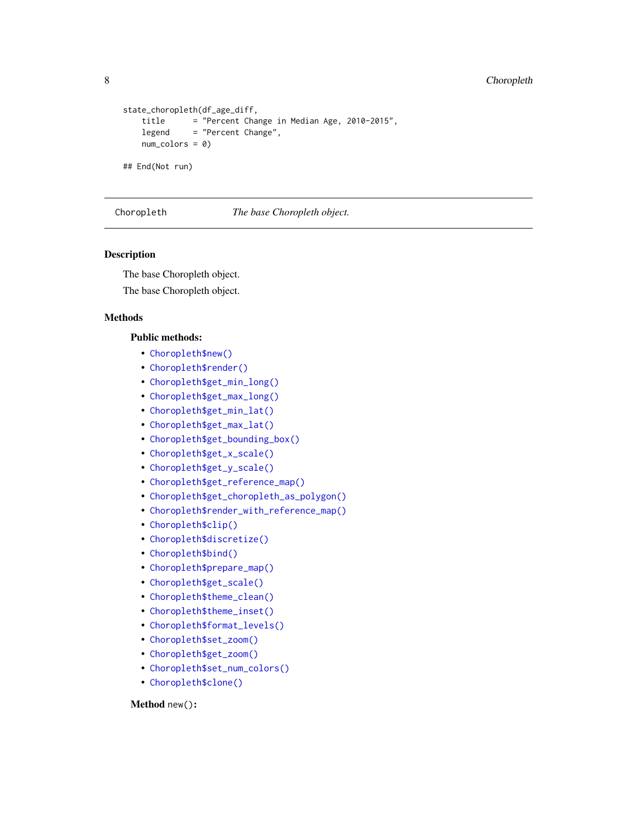```
state_choropleth(df_age_diff,
   title = "Percent Change in Median Age, 2010-2015",
   legend = "Percent Change",
   num_colors = 0)
```

```
## End(Not run)
```
Choropleth *The base Choropleth object.*

#### Description

The base Choropleth object.

The base Choropleth object.

#### Methods

# Public methods:

- [Choropleth\\$new\(\)](#page-2-1)
- [Choropleth\\$render\(\)](#page-8-0)
- [Choropleth\\$get\\_min\\_long\(\)](#page-8-1)
- [Choropleth\\$get\\_max\\_long\(\)](#page-8-2)
- [Choropleth\\$get\\_min\\_lat\(\)](#page-8-3)
- [Choropleth\\$get\\_max\\_lat\(\)](#page-8-4)
- [Choropleth\\$get\\_bounding\\_box\(\)](#page-8-5)
- [Choropleth\\$get\\_x\\_scale\(\)](#page-8-6)
- [Choropleth\\$get\\_y\\_scale\(\)](#page-8-7)
- [Choropleth\\$get\\_reference\\_map\(\)](#page-8-8)
- [Choropleth\\$get\\_choropleth\\_as\\_polygon\(\)](#page-8-9)
- [Choropleth\\$render\\_with\\_reference\\_map\(\)](#page-8-10)
- [Choropleth\\$clip\(\)](#page-8-11)
- [Choropleth\\$discretize\(\)](#page-9-0)
- [Choropleth\\$bind\(\)](#page-9-1)
- [Choropleth\\$prepare\\_map\(\)](#page-9-2)
- [Choropleth\\$get\\_scale\(\)](#page-9-3)
- [Choropleth\\$theme\\_clean\(\)](#page-9-4)
- [Choropleth\\$theme\\_inset\(\)](#page-9-5)
- [Choropleth\\$format\\_levels\(\)](#page-9-6)
- [Choropleth\\$set\\_zoom\(\)](#page-9-7)
- [Choropleth\\$get\\_zoom\(\)](#page-9-8)
- [Choropleth\\$set\\_num\\_colors\(\)](#page-9-9)
- [Choropleth\\$clone\(\)](#page-2-2)

# Method new():

<span id="page-7-0"></span>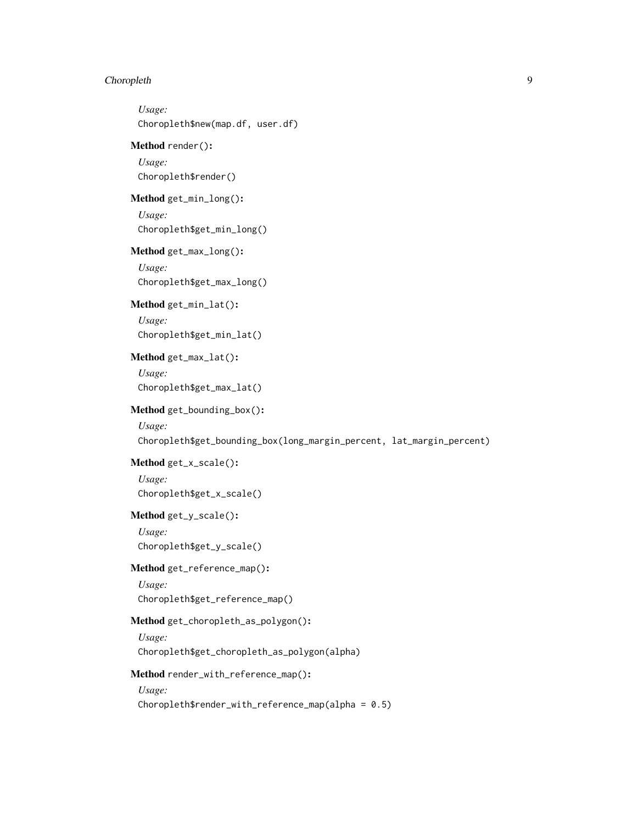# Choropleth 9

<span id="page-8-11"></span><span id="page-8-10"></span><span id="page-8-9"></span><span id="page-8-8"></span><span id="page-8-7"></span><span id="page-8-6"></span><span id="page-8-5"></span><span id="page-8-4"></span><span id="page-8-3"></span><span id="page-8-2"></span><span id="page-8-1"></span><span id="page-8-0"></span>*Usage:* Choropleth\$new(map.df, user.df) Method render(): *Usage:* Choropleth\$render() Method get\_min\_long(): *Usage:* Choropleth\$get\_min\_long() Method get\_max\_long(): *Usage:* Choropleth\$get\_max\_long() Method get\_min\_lat(): *Usage:* Choropleth\$get\_min\_lat() Method get\_max\_lat(): *Usage:* Choropleth\$get\_max\_lat() Method get\_bounding\_box(): *Usage:* Choropleth\$get\_bounding\_box(long\_margin\_percent, lat\_margin\_percent) Method get\_x\_scale(): *Usage:* Choropleth\$get\_x\_scale() Method get\_y\_scale(): *Usage:* Choropleth\$get\_y\_scale() Method get\_reference\_map(): *Usage:* Choropleth\$get\_reference\_map() Method get\_choropleth\_as\_polygon(): *Usage:* Choropleth\$get\_choropleth\_as\_polygon(alpha) Method render\_with\_reference\_map(): *Usage:* Choropleth\$render\_with\_reference\_map(alpha = 0.5)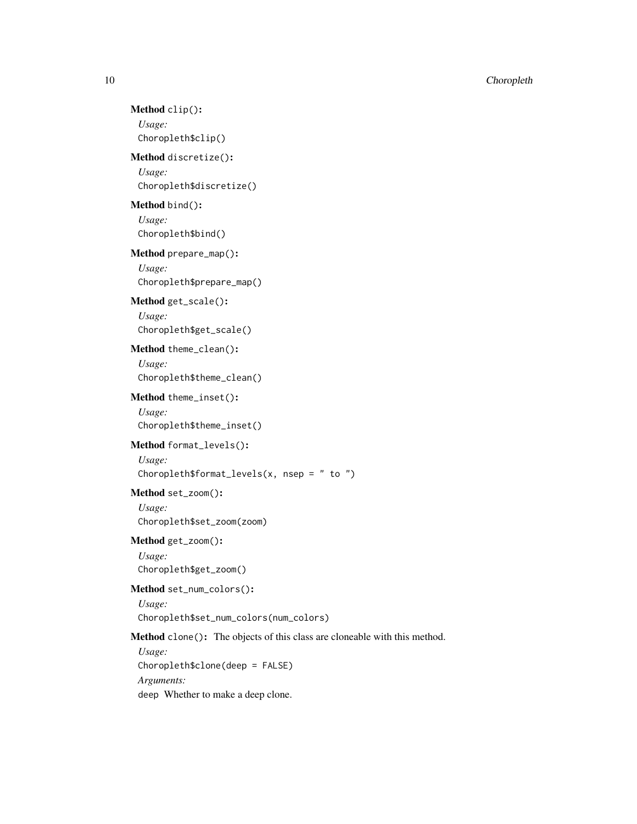```
Method clip():
 Usage:
 Choropleth$clip()
Method discretize():
 Usage:
 Choropleth$discretize()
Method bind():
 Usage:
 Choropleth$bind()
Method prepare_map():
 Usage:
 Choropleth$prepare_map()
Method get_scale():
 Usage:
 Choropleth$get_scale()
Method theme_clean():
 Usage:
 Choropleth$theme_clean()
Method theme_inset():
 Usage:
 Choropleth$theme_inset()
Method format_levels():
 Usage:
 Choropleth$format_levels(x, nsep = " to ")
Method set_zoom():
 Usage:
 Choropleth$set_zoom(zoom)
Method get_zoom():
 Usage:
 Choropleth$get_zoom()
Method set_num_colors():
 Usage:
 Choropleth$set_num_colors(num_colors)
Method clone(): The objects of this class are cloneable with this method.
 Usage:
 Choropleth$clone(deep = FALSE)
 Arguments:
```
<span id="page-9-9"></span><span id="page-9-8"></span><span id="page-9-7"></span><span id="page-9-6"></span>deep Whether to make a deep clone.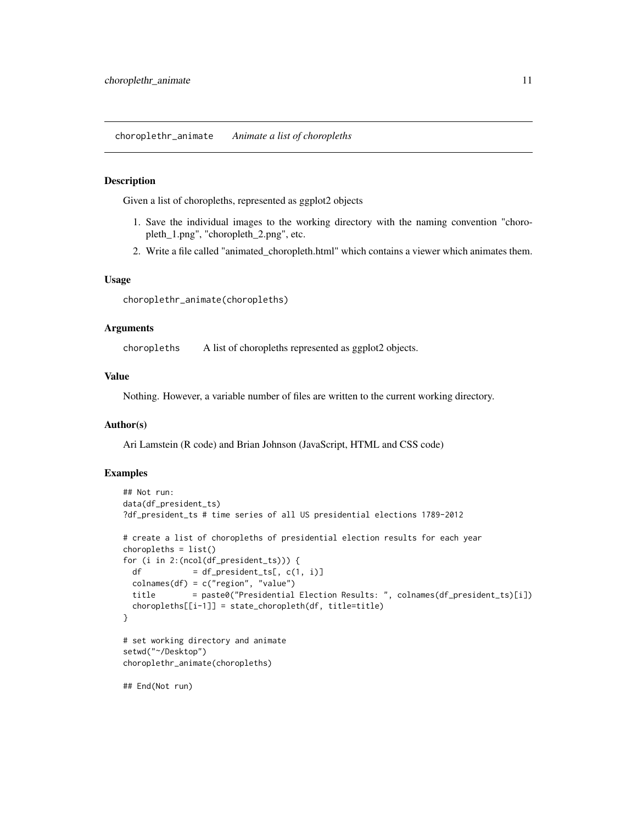#### <span id="page-10-0"></span>Description

Given a list of choropleths, represented as ggplot2 objects

- 1. Save the individual images to the working directory with the naming convention "choropleth\_1.png", "choropleth\_2.png", etc.
- 2. Write a file called "animated\_choropleth.html" which contains a viewer which animates them.

#### Usage

choroplethr\_animate(choropleths)

#### Arguments

choropleths A list of choropleths represented as ggplot2 objects.

# Value

Nothing. However, a variable number of files are written to the current working directory.

#### Author(s)

Ari Lamstein (R code) and Brian Johnson (JavaScript, HTML and CSS code)

#### Examples

```
## Not run:
data(df_president_ts)
?df_president_ts # time series of all US presidential elections 1789-2012
# create a list of choropleths of presidential election results for each year
choropleths = list()
for (i in 2:(ncol(df_president_ts))) {
 df = df_{\text{president}\_ts[, c(1, i)]colnames(df) = c("region", "value")
 title = paste0("Presidential Election Results: ", colnames(df_president_ts)[i])
 choropleths[[i-1]] = state_choropleth(df, title=title)
}
# set working directory and animate
setwd("~/Desktop")
choroplethr_animate(choropleths)
## End(Not run)
```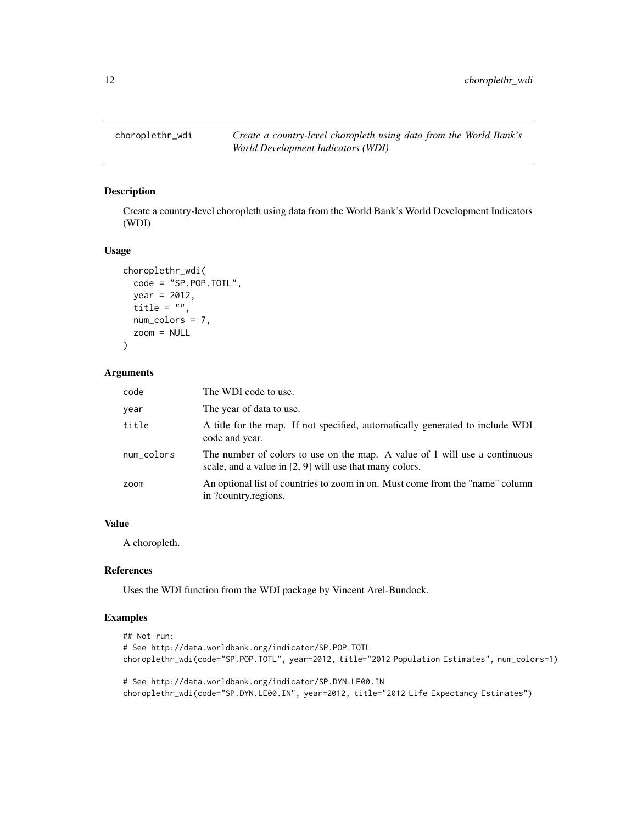<span id="page-11-0"></span>

#### Description

Create a country-level choropleth using data from the World Bank's World Development Indicators (WDI)

#### Usage

```
choroplethr_wdi(
  code = "SP.POP.TOTL",
  year = 2012,
  title = "",
  num_colors = 7,
  zoom = NULL
\mathcal{L}
```
#### Arguments

| code       | The WDI code to use.                                                                                                                    |
|------------|-----------------------------------------------------------------------------------------------------------------------------------------|
| year       | The year of data to use.                                                                                                                |
| title      | A title for the map. If not specified, automatically generated to include WDI<br>code and year.                                         |
| num_colors | The number of colors to use on the map. A value of 1 will use a continuous<br>scale, and a value in $[2, 9]$ will use that many colors. |
| zoom       | An optional list of countries to zoom in on. Must come from the "name" column<br>in ?country.regions.                                   |

# Value

A choropleth.

#### References

Uses the WDI function from the WDI package by Vincent Arel-Bundock.

# Examples

```
## Not run:
# See http://data.worldbank.org/indicator/SP.POP.TOTL
choroplethr_wdi(code="SP.POP.TOTL", year=2012, title="2012 Population Estimates", num_colors=1)
# See http://data.worldbank.org/indicator/SP.DYN.LE00.IN
```
choroplethr\_wdi(code="SP.DYN.LE00.IN", year=2012, title="2012 Life Expectancy Estimates")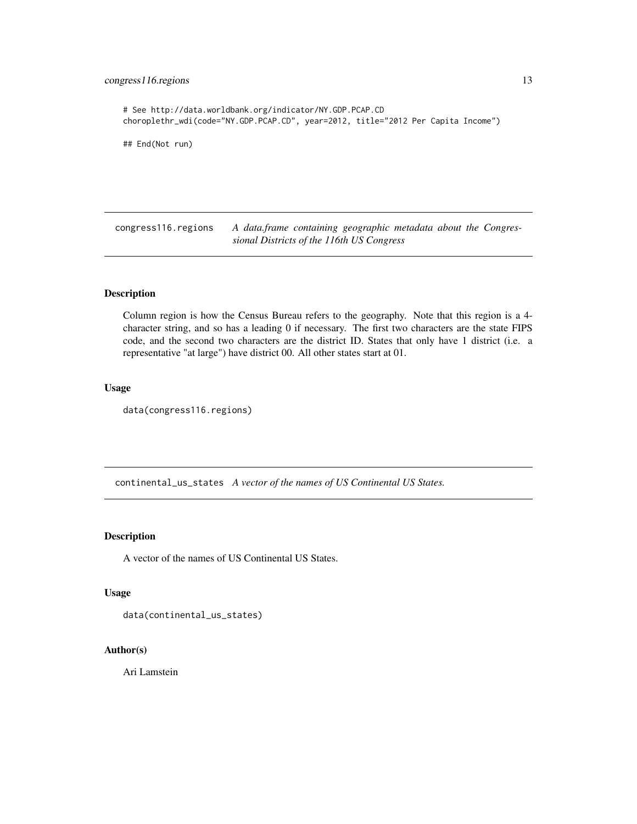# <span id="page-12-0"></span>congress116.regions 13

# See http://data.worldbank.org/indicator/NY.GDP.PCAP.CD choroplethr\_wdi(code="NY.GDP.PCAP.CD", year=2012, title="2012 Per Capita Income") ## End(Not run)

congress116.regions *A data.frame containing geographic metadata about the Congressional Districts of the 116th US Congress*

#### Description

Column region is how the Census Bureau refers to the geography. Note that this region is a 4 character string, and so has a leading 0 if necessary. The first two characters are the state FIPS code, and the second two characters are the district ID. States that only have 1 district (i.e. a representative "at large") have district 00. All other states start at 01.

#### Usage

data(congress116.regions)

continental\_us\_states *A vector of the names of US Continental US States.*

#### Description

A vector of the names of US Continental US States.

#### Usage

data(continental\_us\_states)

#### Author(s)

Ari Lamstein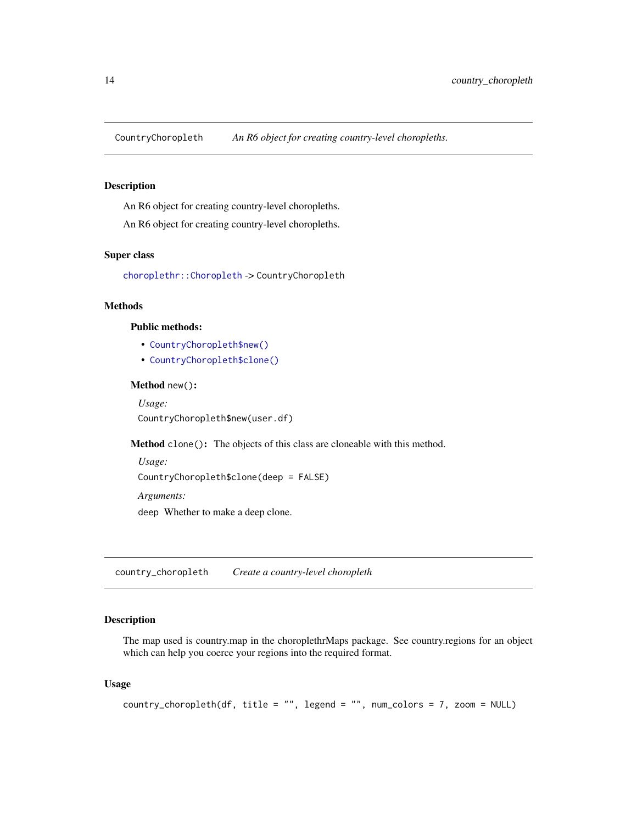<span id="page-13-0"></span>CountryChoropleth *An R6 object for creating country-level choropleths.*

# Description

An R6 object for creating country-level choropleths.

An R6 object for creating country-level choropleths.

#### Super class

[choroplethr::Choropleth](#page-0-0) -> CountryChoropleth

# Methods

# Public methods:

- [CountryChoropleth\\$new\(\)](#page-2-1)
- [CountryChoropleth\\$clone\(\)](#page-2-2)

# Method new():

*Usage:* CountryChoropleth\$new(user.df)

Method clone(): The objects of this class are cloneable with this method.

*Usage:* CountryChoropleth\$clone(deep = FALSE) *Arguments:* deep Whether to make a deep clone.

country\_choropleth *Create a country-level choropleth*

# Description

The map used is country.map in the choroplethrMaps package. See country.regions for an object which can help you coerce your regions into the required format.

```
country_choropleth(df, title = "", legend = "", num_colors = 7, zoom = NULL)
```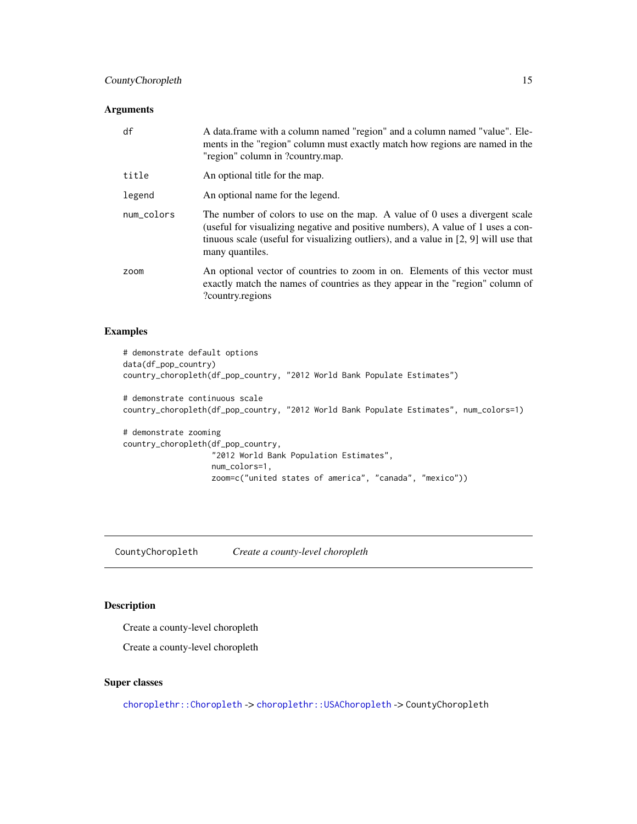<span id="page-14-0"></span>

| df         | A data.frame with a column named "region" and a column named "value". Ele-<br>ments in the "region" column must exactly match how regions are named in the<br>"region" column in ?country.map.                                                                               |
|------------|------------------------------------------------------------------------------------------------------------------------------------------------------------------------------------------------------------------------------------------------------------------------------|
| title      | An optional title for the map.                                                                                                                                                                                                                                               |
| legend     | An optional name for the legend.                                                                                                                                                                                                                                             |
| num_colors | The number of colors to use on the map. A value of 0 uses a divergent scale<br>(useful for visualizing negative and positive numbers), A value of 1 uses a con-<br>tinuous scale (useful for visualizing outliers), and a value in $[2, 9]$ will use that<br>many quantiles. |
| zoom       | An optional vector of countries to zoom in on. Elements of this vector must<br>exactly match the names of countries as they appear in the "region" column of<br>?country.regions                                                                                             |

# Examples

```
# demonstrate default options
data(df_pop_country)
country_choropleth(df_pop_country, "2012 World Bank Populate Estimates")
# demonstrate continuous scale
country_choropleth(df_pop_country, "2012 World Bank Populate Estimates", num_colors=1)
# demonstrate zooming
country_choropleth(df_pop_country,
                   "2012 World Bank Population Estimates",
                   num_colors=1,
                   zoom=c("united states of america", "canada", "mexico"))
```
CountyChoropleth *Create a county-level choropleth*

# Description

Create a county-level choropleth

Create a county-level choropleth

# Super classes

[choroplethr::Choropleth](#page-0-0) -> [choroplethr::USAChoropleth](#page-0-0) -> CountyChoropleth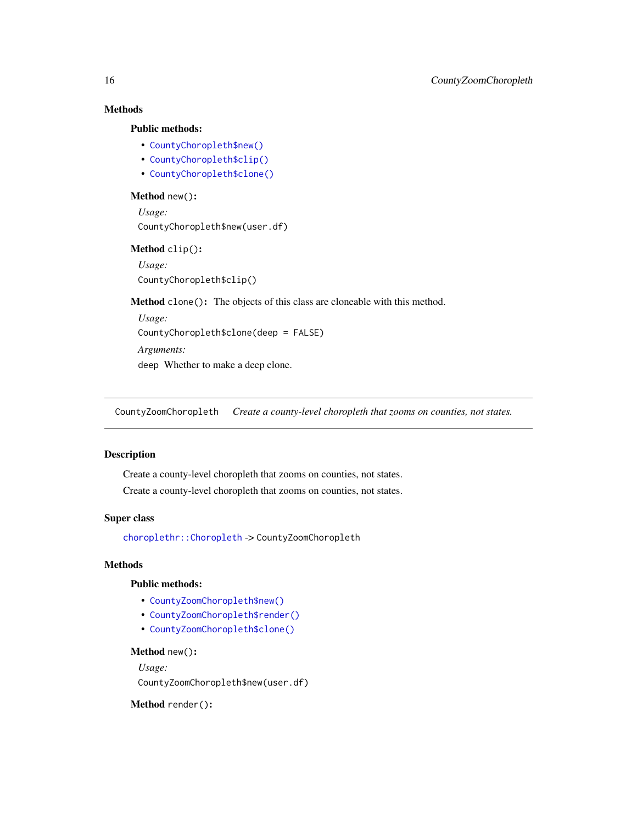# Methods

#### Public methods:

- [CountyChoropleth\\$new\(\)](#page-2-1)
- [CountyChoropleth\\$clip\(\)](#page-8-11)
- [CountyChoropleth\\$clone\(\)](#page-2-2)

#### Method new():

```
Usage:
CountyChoropleth$new(user.df)
```
# Method clip():

*Usage:* CountyChoropleth\$clip()

Method clone(): The objects of this class are cloneable with this method.

*Usage:* CountyChoropleth\$clone(deep = FALSE) *Arguments:* deep Whether to make a deep clone.

CountyZoomChoropleth *Create a county-level choropleth that zooms on counties, not states.*

# Description

Create a county-level choropleth that zooms on counties, not states. Create a county-level choropleth that zooms on counties, not states.

#### Super class

[choroplethr::Choropleth](#page-0-0) -> CountyZoomChoropleth

# Methods

# Public methods:

- [CountyZoomChoropleth\\$new\(\)](#page-2-1)
- [CountyZoomChoropleth\\$render\(\)](#page-8-0)
- [CountyZoomChoropleth\\$clone\(\)](#page-2-2)

# Method new():

*Usage:*

CountyZoomChoropleth\$new(user.df)

Method render():

<span id="page-15-0"></span>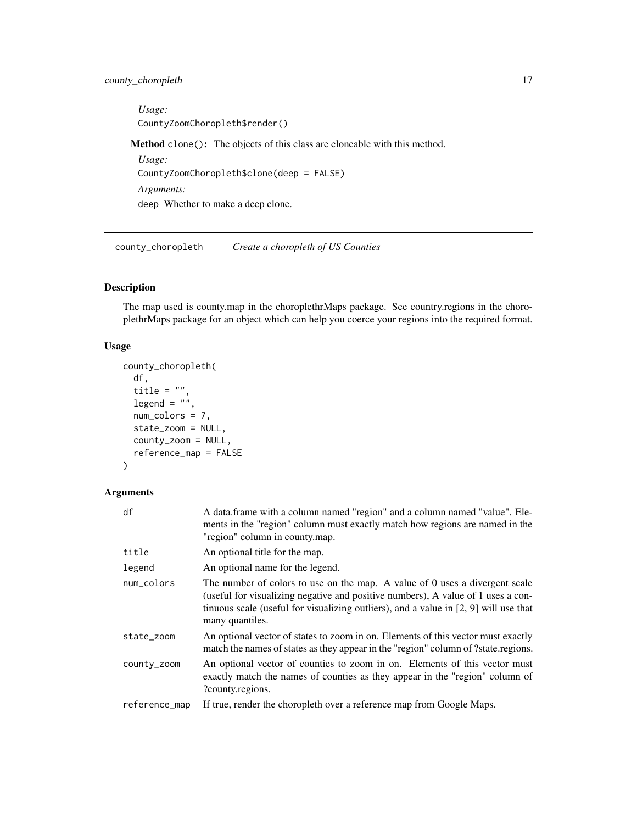# <span id="page-16-0"></span>county\_choropleth 17

*Usage:* CountyZoomChoropleth\$render()

Method clone(): The objects of this class are cloneable with this method.

*Usage:* CountyZoomChoropleth\$clone(deep = FALSE) *Arguments:* deep Whether to make a deep clone.

county\_choropleth *Create a choropleth of US Counties*

# Description

The map used is county.map in the choroplethrMaps package. See country.regions in the choroplethrMaps package for an object which can help you coerce your regions into the required format.

#### Usage

```
county_choropleth(
  df,
  title = ",
  legend = ",
  num_colors = 7,
  state_zoom = NULL,
  county_zoom = NULL,
  reference_map = FALSE
)
```
# Arguments

| df            | A data.frame with a column named "region" and a column named "value". Ele-<br>ments in the "region" column must exactly match how regions are named in the<br>"region" column in county.map.                                                                                 |
|---------------|------------------------------------------------------------------------------------------------------------------------------------------------------------------------------------------------------------------------------------------------------------------------------|
| title         | An optional title for the map.                                                                                                                                                                                                                                               |
| legend        | An optional name for the legend.                                                                                                                                                                                                                                             |
| num_colors    | The number of colors to use on the map. A value of 0 uses a divergent scale<br>(useful for visualizing negative and positive numbers), A value of 1 uses a con-<br>tinuous scale (useful for visualizing outliers), and a value in $[2, 9]$ will use that<br>many quantiles. |
| state_zoom    | An optional vector of states to zoom in on. Elements of this vector must exactly<br>match the names of states as they appear in the "region" column of ?state.regions.                                                                                                       |
| county_zoom   | An optional vector of counties to zoom in on. Elements of this vector must<br>exactly match the names of counties as they appear in the "region" column of<br>?county.regions.                                                                                               |
| reference_map | If true, render the choropleth over a reference map from Google Maps.                                                                                                                                                                                                        |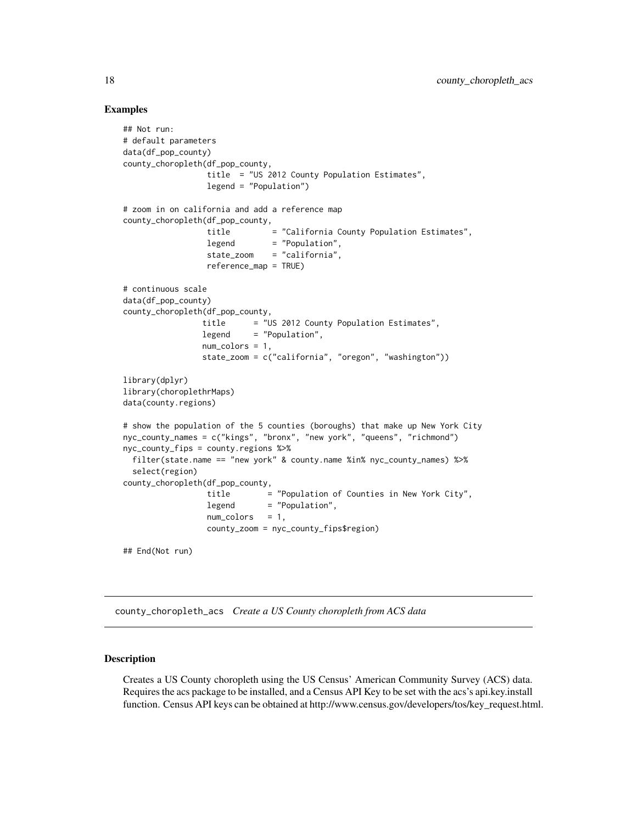#### Examples

```
## Not run:
# default parameters
data(df_pop_county)
county_choropleth(df_pop_county,
                 title = "US 2012 County Population Estimates",
                 legend = "Population")
# zoom in on california and add a reference map
county_choropleth(df_pop_county,
                 title = "California County Population Estimates",
                 legend = "Population",
                 state_zoom = "california",
                 reference_map = TRUE)
# continuous scale
data(df_pop_county)
county_choropleth(df_pop_county,
                title = "US 2012 County Population Estimates",
                legend = "Population",
                num_colors = 1,
                state_zoom = c("california", "oregon", "washington"))
library(dplyr)
library(choroplethrMaps)
data(county.regions)
# show the population of the 5 counties (boroughs) that make up New York City
nyc_county_names = c("kings", "bronx", "new york", "queens", "richmond")
nyc_county_fips = county.regions %>%
 filter(state.name == "new york" & county.name %in% nyc_county_names) %>%
 select(region)
county_choropleth(df_pop_county,
                 title = "Population of Counties in New York City",
                 legend = "Population",
                 num\_colors = 1,
                 county_zoom = nyc_county_fips$region)
## End(Not run)
```
county\_choropleth\_acs *Create a US County choropleth from ACS data*

#### **Description**

Creates a US County choropleth using the US Census' American Community Survey (ACS) data. Requires the acs package to be installed, and a Census API Key to be set with the acs's api.key.install function. Census API keys can be obtained at http://www.census.gov/developers/tos/key\_request.html.

<span id="page-17-0"></span>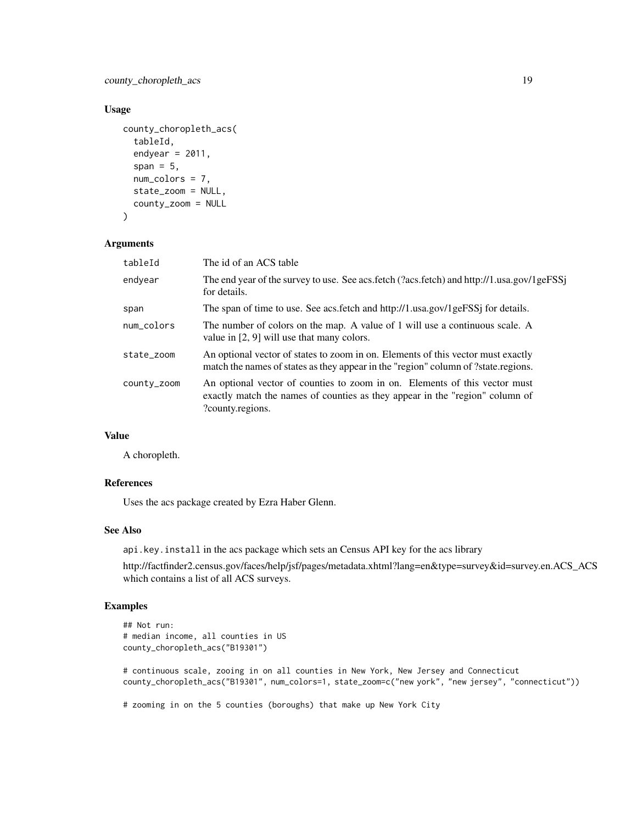county\_choropleth\_acs 19

# Usage

```
county_choropleth_acs(
  tableId,
  endyear = 2011,
  span = 5,num_colors = 7,
  state_zoom = NULL,
  county_zoom = NULL
)
```
### Arguments

| The id of an ACS table                                                                                                                                                         |
|--------------------------------------------------------------------------------------------------------------------------------------------------------------------------------|
| The end year of the survey to use. See acs. fetch (?acs. fetch) and http://1.usa.gov/1geFSSj<br>for details.                                                                   |
| The span of time to use. See acs. fetch and http://1.usa.gov/1geFSS for details.                                                                                               |
| The number of colors on the map. A value of 1 will use a continuous scale. A<br>value in $[2, 9]$ will use that many colors.                                                   |
| An optional vector of states to zoom in on. Elements of this vector must exactly<br>match the names of states as they appear in the "region" column of ?state.regions.         |
| An optional vector of counties to zoom in on. Elements of this vector must<br>exactly match the names of counties as they appear in the "region" column of<br>?county.regions. |
|                                                                                                                                                                                |

# Value

A choropleth.

# References

Uses the acs package created by Ezra Haber Glenn.

# See Also

api.key.install in the acs package which sets an Census API key for the acs library

http://factfinder2.census.gov/faces/help/jsf/pages/metadata.xhtml?lang=en&type=survey&id=survey.en.ACS\_ACS which contains a list of all ACS surveys.

# Examples

```
## Not run:
# median income, all counties in US
county_choropleth_acs("B19301")
# continuous scale, zooing in on all counties in New York, New Jersey and Connecticut
county_choropleth_acs("B19301", num_colors=1, state_zoom=c("new york", "new jersey", "connecticut"))
```
# zooming in on the 5 counties (boroughs) that make up New York City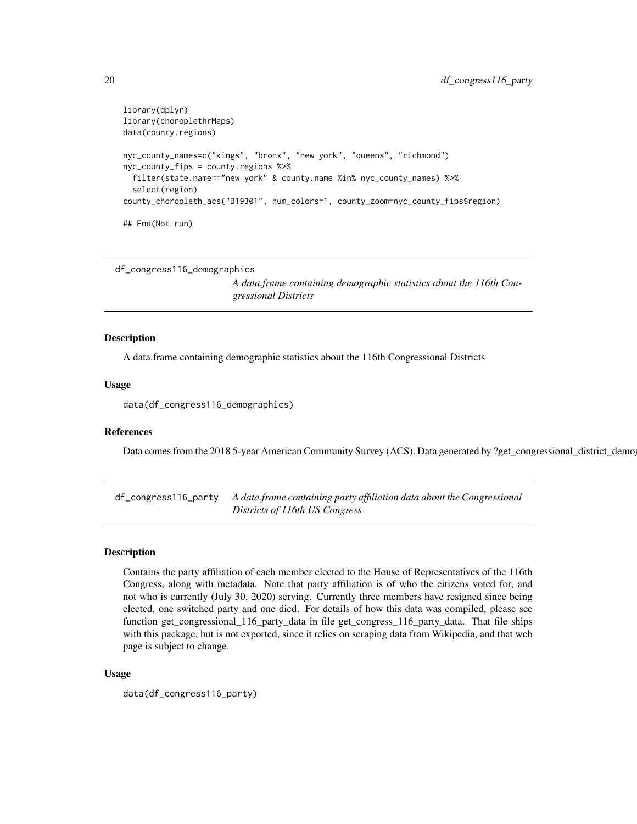```
library(dplyr)
library(choroplethrMaps)
data(county.regions)
nyc_county_names=c("kings", "bronx", "new york", "queens", "richmond")
nyc_county_fips = county.regions %>%
 filter(state.name=="new york" & county.name %in% nyc_county_names) %>%
 select(region)
county_choropleth_acs("B19301", num_colors=1, county_zoom=nyc_county_fips$region)
## End(Not run)
```

```
df_congress116_demographics
```
*A data.frame containing demographic statistics about the 116th Congressional Districts*

# Description

A data.frame containing demographic statistics about the 116th Congressional Districts

#### Usage

data(df\_congress116\_demographics)

#### References

Data comes from the 2018 5-year American Community Survey (ACS). Data generated by ?get\_congressional\_district\_demog

df\_congress116\_party *A data.frame containing party affiliation data about the Congressional Districts of 116th US Congress*

#### Description

Contains the party affiliation of each member elected to the House of Representatives of the 116th Congress, along with metadata. Note that party affiliation is of who the citizens voted for, and not who is currently (July 30, 2020) serving. Currently three members have resigned since being elected, one switched party and one died. For details of how this data was compiled, please see function get\_congressional\_116\_party\_data in file get\_congress\_116\_party\_data. That file ships with this package, but is not exported, since it relies on scraping data from Wikipedia, and that web page is subject to change.

```
data(df_congress116_party)
```
<span id="page-19-0"></span>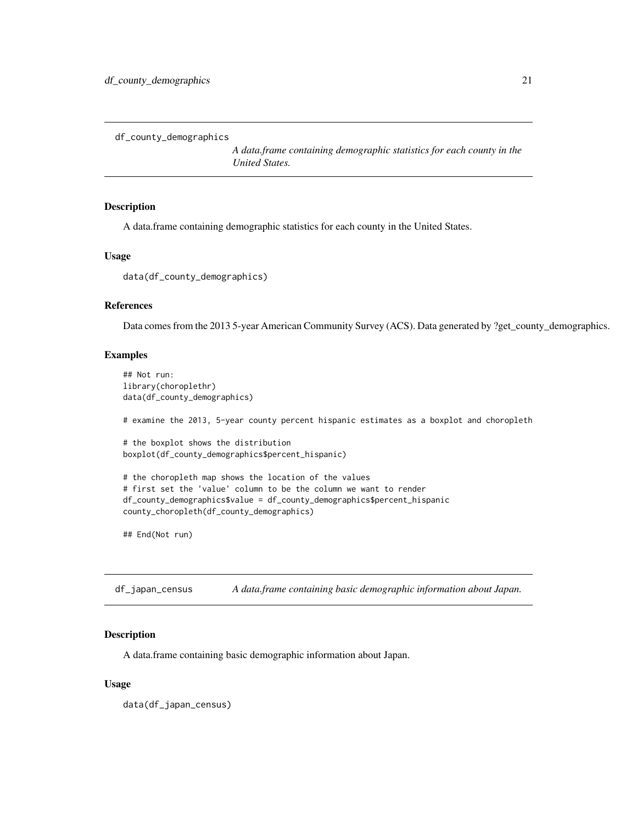```
df_county_demographics
```
*A data.frame containing demographic statistics for each county in the United States.*

# Description

A data.frame containing demographic statistics for each county in the United States.

# Usage

data(df\_county\_demographics)

# References

Data comes from the 2013 5-year American Community Survey (ACS). Data generated by ?get\_county\_demographics.

# Examples

```
## Not run:
library(choroplethr)
data(df_county_demographics)
# examine the 2013, 5-year county percent hispanic estimates as a boxplot and choropleth
# the boxplot shows the distribution
boxplot(df_county_demographics$percent_hispanic)
# the choropleth map shows the location of the values
# first set the 'value' column to be the column we want to render
df_county_demographics$value = df_county_demographics$percent_hispanic
county_choropleth(df_county_demographics)
```
## End(Not run)

df\_japan\_census *A data.frame containing basic demographic information about Japan.*

# Description

A data.frame containing basic demographic information about Japan.

#### Usage

data(df\_japan\_census)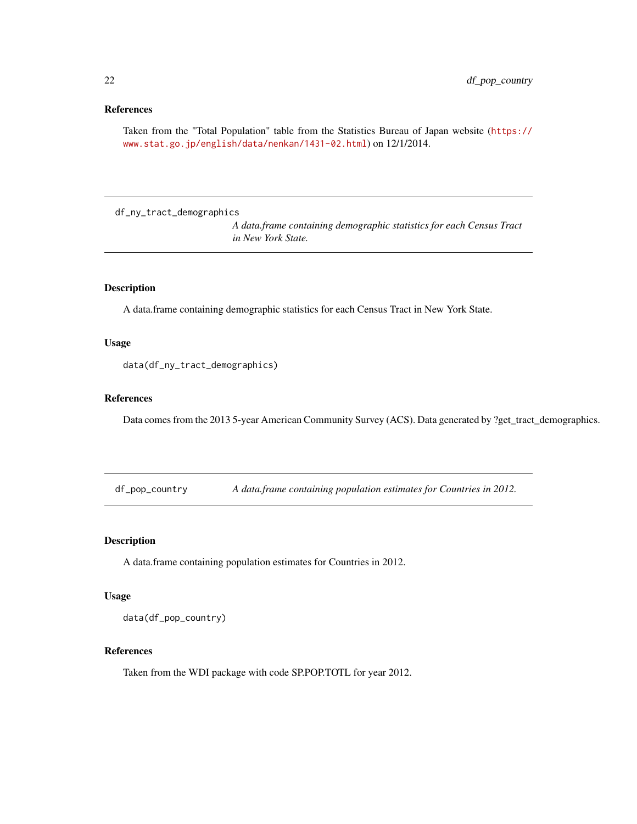# <span id="page-21-0"></span>References

Taken from the "Total Population" table from the Statistics Bureau of Japan website ([https://](https://www.stat.go.jp/english/data/nenkan/1431-02.html) [www.stat.go.jp/english/data/nenkan/1431-02.html](https://www.stat.go.jp/english/data/nenkan/1431-02.html)) on 12/1/2014.

df\_ny\_tract\_demographics

*A data.frame containing demographic statistics for each Census Tract in New York State.*

# Description

A data.frame containing demographic statistics for each Census Tract in New York State.

#### Usage

data(df\_ny\_tract\_demographics)

#### References

Data comes from the 2013 5-year American Community Survey (ACS). Data generated by ?get\_tract\_demographics.

df\_pop\_country *A data.frame containing population estimates for Countries in 2012.*

#### Description

A data.frame containing population estimates for Countries in 2012.

#### Usage

data(df\_pop\_country)

# References

Taken from the WDI package with code SP.POP.TOTL for year 2012.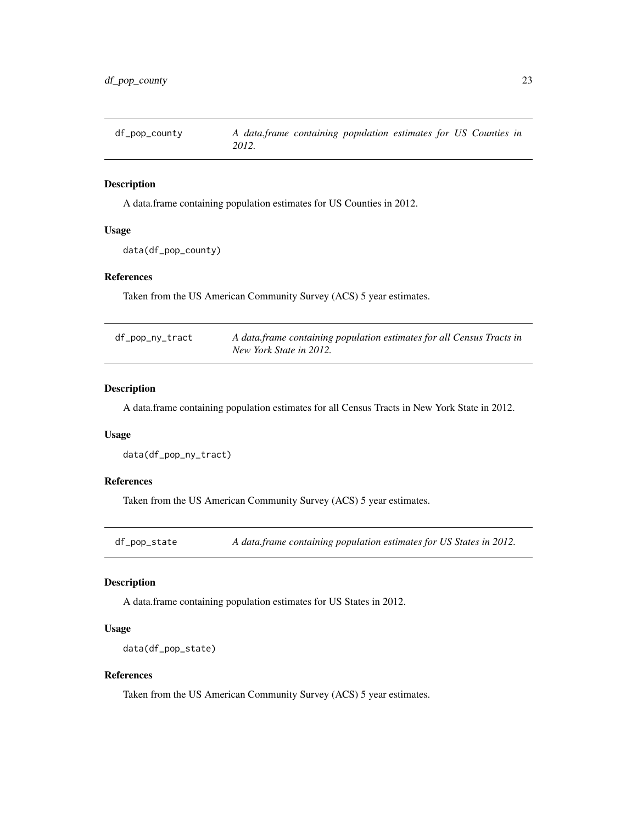<span id="page-22-0"></span>df\_pop\_county *A data.frame containing population estimates for US Counties in 2012.*

# Description

A data.frame containing population estimates for US Counties in 2012.

#### Usage

```
data(df_pop_county)
```
# References

Taken from the US American Community Survey (ACS) 5 year estimates.

| df_pop_ny_tract | A data frame containing population estimates for all Census Tracts in |
|-----------------|-----------------------------------------------------------------------|
|                 | New York State in 2012.                                               |

# Description

A data.frame containing population estimates for all Census Tracts in New York State in 2012.

# Usage

data(df\_pop\_ny\_tract)

# References

Taken from the US American Community Survey (ACS) 5 year estimates.

df\_pop\_state *A data.frame containing population estimates for US States in 2012.*

# Description

A data.frame containing population estimates for US States in 2012.

#### Usage

```
data(df_pop_state)
```
# References

Taken from the US American Community Survey (ACS) 5 year estimates.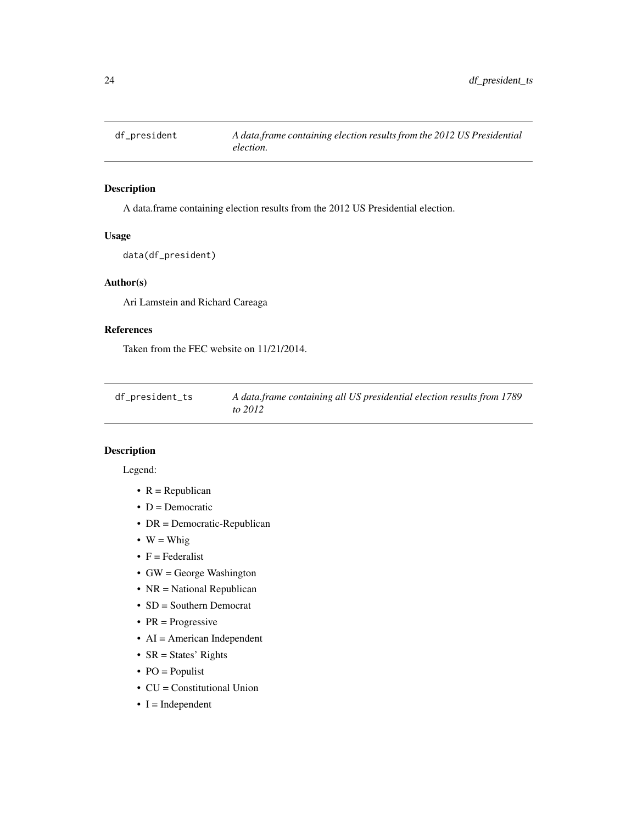<span id="page-23-0"></span>

# Description

A data.frame containing election results from the 2012 US Presidential election.

# Usage

data(df\_president)

#### Author(s)

Ari Lamstein and Richard Careaga

#### References

Taken from the FEC website on 11/21/2014.

| df_president_ts | A data.frame containing all US presidential election results from 1789 |
|-----------------|------------------------------------------------------------------------|
|                 | <i>to</i> 2012                                                         |

# Description

# Legend:

- $R = Republican$
- $\bullet$  D = Democratic
- DR = Democratic-Republican
- $W = Whig$
- $F =$  Federalist
- GW = George Washington
- NR = National Republican
- SD = Southern Democrat
- $PR = Progressive$
- AI = American Independent
- SR = States' Rights
- $PO = Populist$
- CU = Constitutional Union
- $\bullet$  I = Independent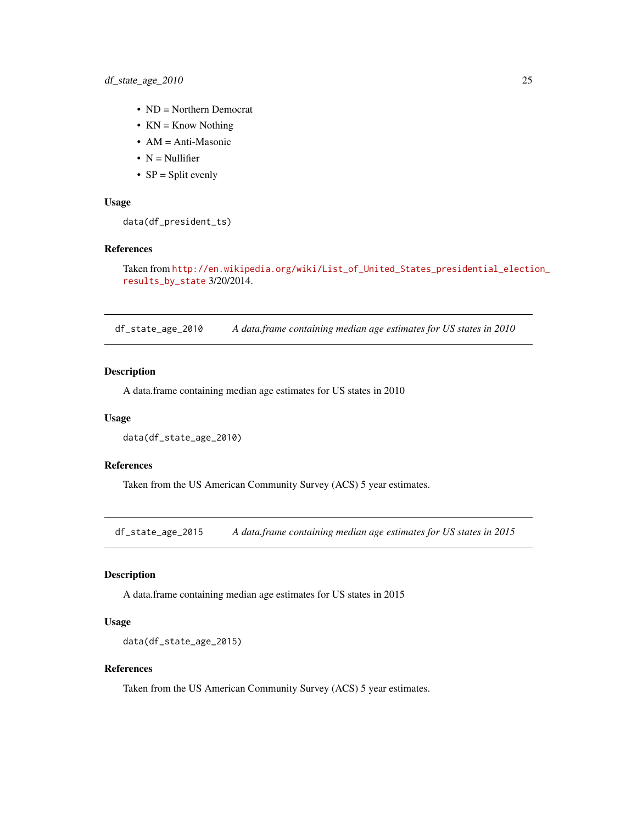- <span id="page-24-0"></span>• ND = Northern Democrat
- $KN =$  Know Nothing
- AM = Anti-Masonic
- $N =$  Nullifier
- $SP = Split$  evenly

#### Usage

data(df\_president\_ts)

#### References

Taken from [http://en.wikipedia.org/wiki/List\\_of\\_United\\_States\\_presidential\\_electi](http://en.wikipedia.org/wiki/List_of_United_States_presidential_election_results_by_state)on\_ [results\\_by\\_state](http://en.wikipedia.org/wiki/List_of_United_States_presidential_election_results_by_state) 3/20/2014.

df\_state\_age\_2010 *A data.frame containing median age estimates for US states in 2010*

#### Description

A data.frame containing median age estimates for US states in 2010

# Usage

```
data(df_state_age_2010)
```
# References

Taken from the US American Community Survey (ACS) 5 year estimates.

df\_state\_age\_2015 *A data.frame containing median age estimates for US states in 2015*

# Description

A data.frame containing median age estimates for US states in 2015

# Usage

```
data(df_state_age_2015)
```
# References

Taken from the US American Community Survey (ACS) 5 year estimates.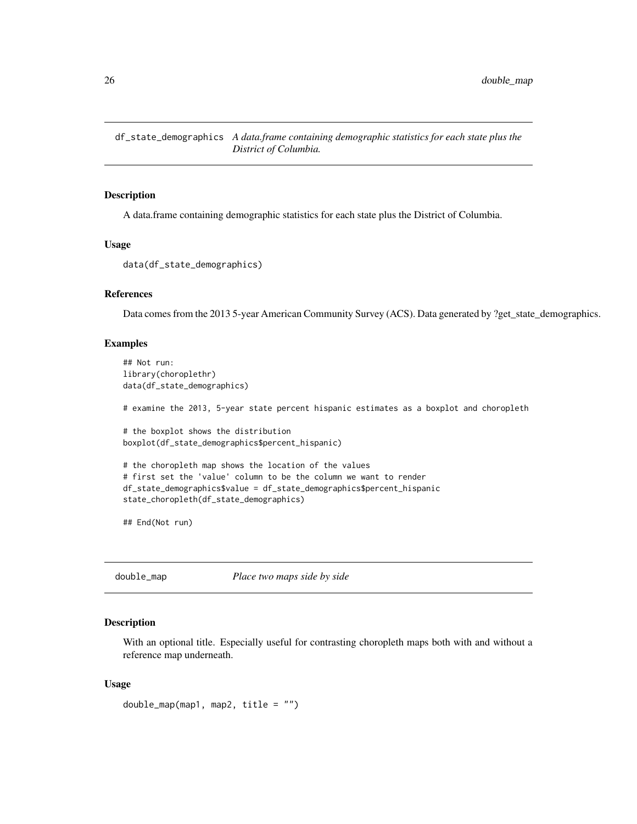<span id="page-25-0"></span>df\_state\_demographics *A data.frame containing demographic statistics for each state plus the District of Columbia.*

#### Description

A data.frame containing demographic statistics for each state plus the District of Columbia.

#### Usage

```
data(df_state_demographics)
```
#### References

Data comes from the 2013 5-year American Community Survey (ACS). Data generated by ?get\_state\_demographics.

#### Examples

```
## Not run:
library(choroplethr)
data(df_state_demographics)
# examine the 2013, 5-year state percent hispanic estimates as a boxplot and choropleth
# the boxplot shows the distribution
boxplot(df_state_demographics$percent_hispanic)
# the choropleth map shows the location of the values
# first set the 'value' column to be the column we want to render
df_state_demographics$value = df_state_demographics$percent_hispanic
state_choropleth(df_state_demographics)
## End(Not run)
```
double\_map *Place two maps side by side*

#### Description

With an optional title. Especially useful for contrasting choropleth maps both with and without a reference map underneath.

```
double_map(map1, map2, title = "")
```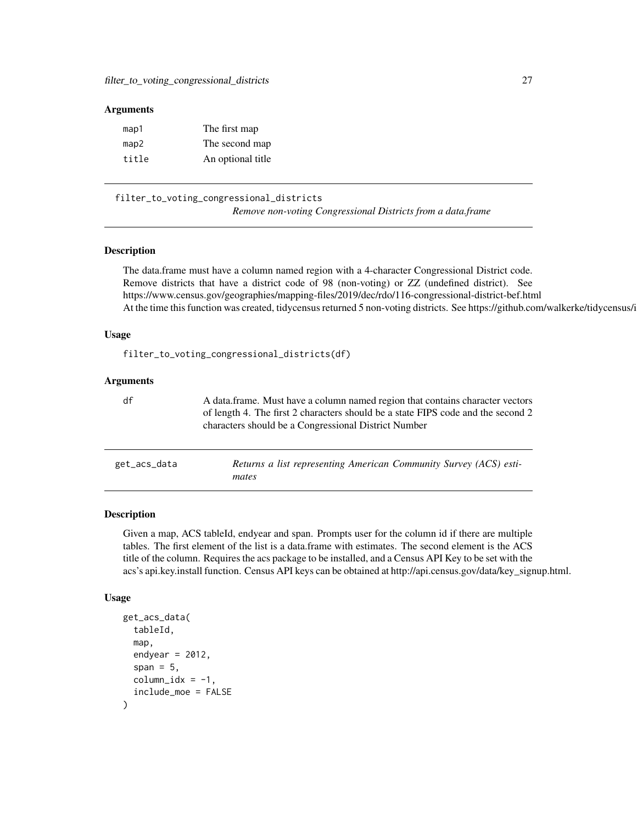<span id="page-26-0"></span>

| map1  | The first map     |
|-------|-------------------|
| map2  | The second map    |
| title | An optional title |

```
filter_to_voting_congressional_districts
                        Remove non-voting Congressional Districts from a data.frame
```
# Description

The data.frame must have a column named region with a 4-character Congressional District code. Remove districts that have a district code of 98 (non-voting) or ZZ (undefined district). See https://www.census.gov/geographies/mapping-files/2019/dec/rdo/116-congressional-district-bef.html At the time this function was created, tidycensus returned 5 non-voting districts. See https://github.com/walkerke/tidycensus/i

#### Usage

filter\_to\_voting\_congressional\_districts(df)

#### Arguments

| df           | A data frame. Must have a column named region that contains character vectors<br>of length 4. The first 2 characters should be a state FIPS code and the second 2<br>characters should be a Congressional District Number |
|--------------|---------------------------------------------------------------------------------------------------------------------------------------------------------------------------------------------------------------------------|
| get_acs_data | Returns a list representing American Community Survey (ACS) esti-<br>mates                                                                                                                                                |

# Description

Given a map, ACS tableId, endyear and span. Prompts user for the column id if there are multiple tables. The first element of the list is a data.frame with estimates. The second element is the ACS title of the column. Requires the acs package to be installed, and a Census API Key to be set with the acs's api.key.install function. Census API keys can be obtained at http://api.census.gov/data/key\_signup.html.

```
get_acs_data(
  tableId,
  map,
  endyear = 2012,
  span = 5.
  column_idx = -1,
  include_moe = FALSE
)
```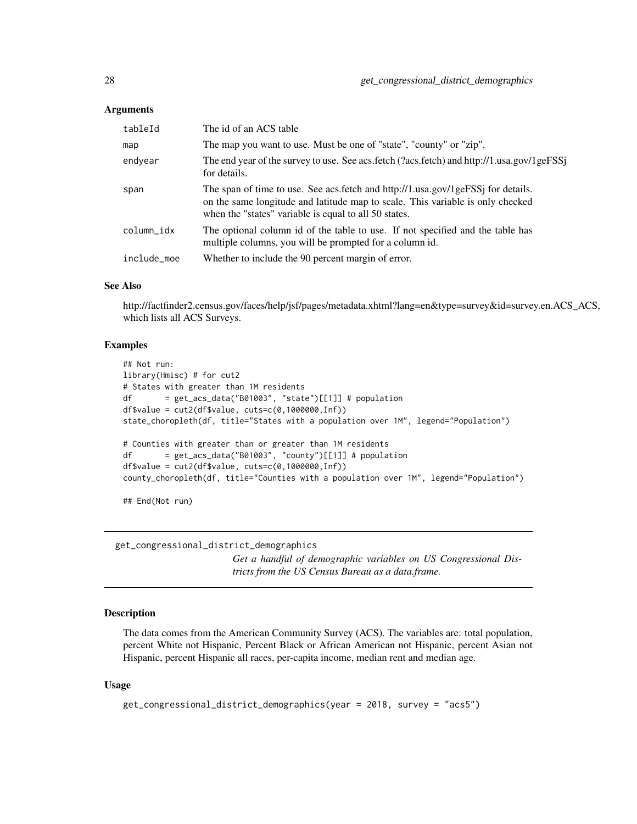<span id="page-27-0"></span>

| tableId     | The id of an ACS table                                                                                                                                                                                                      |
|-------------|-----------------------------------------------------------------------------------------------------------------------------------------------------------------------------------------------------------------------------|
| map         | The map you want to use. Must be one of "state", "county" or "zip".                                                                                                                                                         |
| endyear     | The end year of the survey to use. See acs.fetch (?acs.fetch) and http://1.usa.gov/1geFSSj<br>for details.                                                                                                                  |
| span        | The span of time to use. See acs. fetch and http://1.usa.gov/1geFSS for details.<br>on the same longitude and latitude map to scale. This variable is only checked<br>when the "states" variable is equal to all 50 states. |
| column_idx  | The optional column id of the table to use. If not specified and the table has<br>multiple columns, you will be prompted for a column id.                                                                                   |
| include_moe | Whether to include the 90 percent margin of error.                                                                                                                                                                          |

# See Also

http://factfinder2.census.gov/faces/help/jsf/pages/metadata.xhtml?lang=en&type=survey&id=survey.en.ACS\_ACS, which lists all ACS Surveys.

#### Examples

```
## Not run:
library(Hmisc) # for cut2
# States with greater than 1M residents
df = get_acs_data("B01003", "state")[[1]] # populationdf$value = cut2(df$value, cuts=c(0,1000000, Inf))state_choropleth(df, title="States with a population over 1M", legend="Population")
# Counties with greater than or greater than 1M residents
df = get\_acs\_data("B01003", "county")[[1]] # populationdf$value = cut2(df$value, cuts=c(0,1000000,Inf))
county_choropleth(df, title="Counties with a population over 1M", legend="Population")
## End(Not run)
```
get\_congressional\_district\_demographics

*Get a handful of demographic variables on US Congressional Districts from the US Census Bureau as a data.frame.*

# **Description**

The data comes from the American Community Survey (ACS). The variables are: total population, percent White not Hispanic, Percent Black or African American not Hispanic, percent Asian not Hispanic, percent Hispanic all races, per-capita income, median rent and median age.

```
get_congressional_district_demographics(year = 2018, survey = "acs5")
```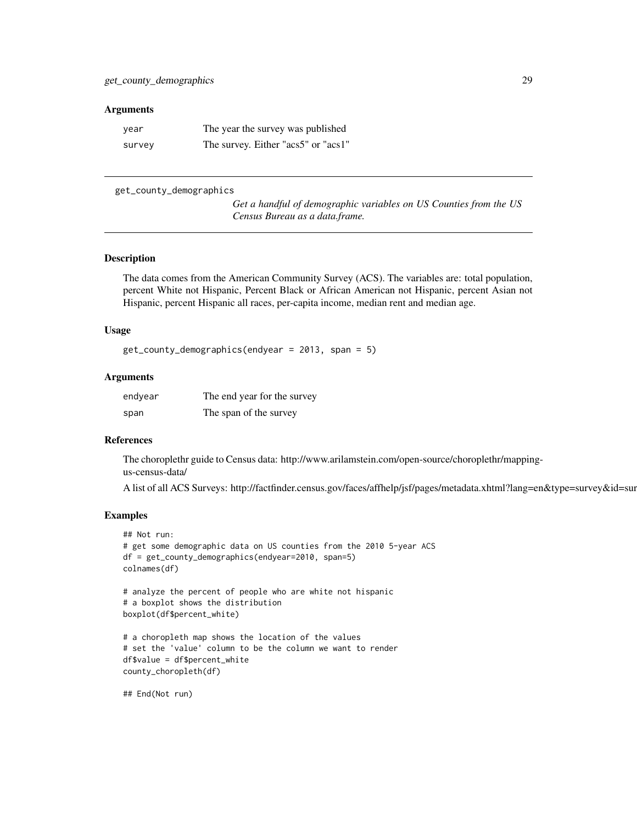<span id="page-28-0"></span>

| vear   | The year the survey was published   |
|--------|-------------------------------------|
| survey | The survey. Either "acs5" or "acs1" |

```
get_county_demographics
```
*Get a handful of demographic variables on US Counties from the US Census Bureau as a data.frame.*

# Description

The data comes from the American Community Survey (ACS). The variables are: total population, percent White not Hispanic, Percent Black or African American not Hispanic, percent Asian not Hispanic, percent Hispanic all races, per-capita income, median rent and median age.

#### Usage

```
get_county_demographics(endyear = 2013, span = 5)
```
# Arguments

| endyear | The end year for the survey |
|---------|-----------------------------|
| span    | The span of the survey      |

# References

The choroplethr guide to Census data: http://www.arilamstein.com/open-source/choroplethr/mappingus-census-data/

A list of all ACS Surveys: http://factfinder.census.gov/faces/affhelp/jsf/pages/metadata.xhtml?lang=en&type=survey&id=sur

#### Examples

```
## Not run:
# get some demographic data on US counties from the 2010 5-year ACS
df = get_county_demographics(endyear=2010, span=5)
colnames(df)
# analyze the percent of people who are white not hispanic
# a boxplot shows the distribution
boxplot(df$percent_white)
```

```
# a choropleth map shows the location of the values
# set the 'value' column to be the column we want to render
df$value = df$percent_white
county_choropleth(df)
```
## End(Not run)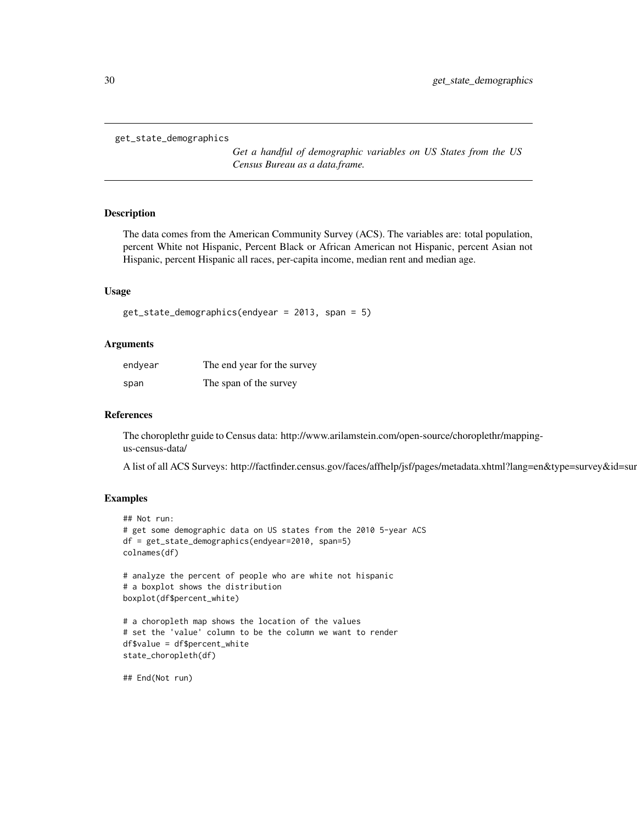```
get_state_demographics
```
*Get a handful of demographic variables on US States from the US Census Bureau as a data.frame.*

#### Description

The data comes from the American Community Survey (ACS). The variables are: total population, percent White not Hispanic, Percent Black or African American not Hispanic, percent Asian not Hispanic, percent Hispanic all races, per-capita income, median rent and median age.

#### Usage

```
get_state_demographics(endyear = 2013, span = 5)
```
# Arguments

| endyear | The end year for the survey |
|---------|-----------------------------|
| span    | The span of the survey      |

#### References

The choroplethr guide to Census data: http://www.arilamstein.com/open-source/choroplethr/mappingus-census-data/

A list of all ACS Surveys: http://factfinder.census.gov/faces/affhelp/jsf/pages/metadata.xhtml?lang=en&type=survey&id=sur

#### Examples

```
## Not run:
# get some demographic data on US states from the 2010 5-year ACS
df = get_state_demographics(endyear=2010, span=5)
colnames(df)
# analyze the percent of people who are white not hispanic
# a boxplot shows the distribution
boxplot(df$percent_white)
# a choropleth map shows the location of the values
# set the 'value' column to be the column we want to render
df$value = df$percent_white
state_choropleth(df)
```
## End(Not run)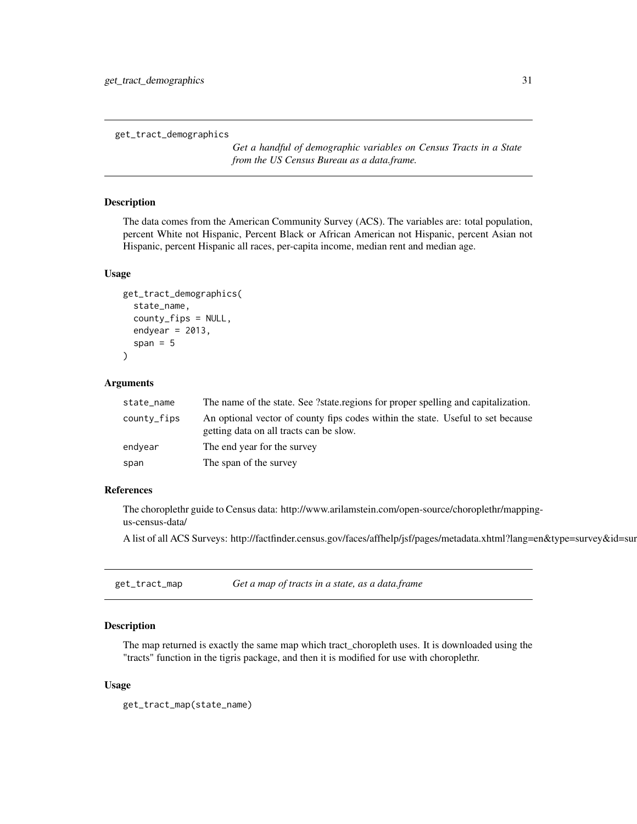<span id="page-30-0"></span>get\_tract\_demographics

*Get a handful of demographic variables on Census Tracts in a State from the US Census Bureau as a data.frame.*

#### Description

The data comes from the American Community Survey (ACS). The variables are: total population, percent White not Hispanic, Percent Black or African American not Hispanic, percent Asian not Hispanic, percent Hispanic all races, per-capita income, median rent and median age.

# Usage

```
get_tract_demographics(
  state_name,
  county_fips = NULL,
  endyear = 2013,
  span = 5\mathcal{E}
```
# Arguments

| state_name  | The name of the state. See ?state.regions for proper spelling and capitalization.                                          |
|-------------|----------------------------------------------------------------------------------------------------------------------------|
| county_fips | An optional vector of county fips codes within the state. Useful to set because<br>getting data on all tracts can be slow. |
| endyear     | The end year for the survey                                                                                                |
| span        | The span of the survey                                                                                                     |

#### References

The choroplethr guide to Census data: http://www.arilamstein.com/open-source/choroplethr/mappingus-census-data/

A list of all ACS Surveys: http://factfinder.census.gov/faces/affhelp/jsf/pages/metadata.xhtml?lang=en&type=survey&id=sur

|  | get_tract_map | Get a map of tracts in a state, as a data.frame |
|--|---------------|-------------------------------------------------|
|--|---------------|-------------------------------------------------|

#### Description

The map returned is exactly the same map which tract\_choropleth uses. It is downloaded using the "tracts" function in the tigris package, and then it is modified for use with choroplethr.

```
get_tract_map(state_name)
```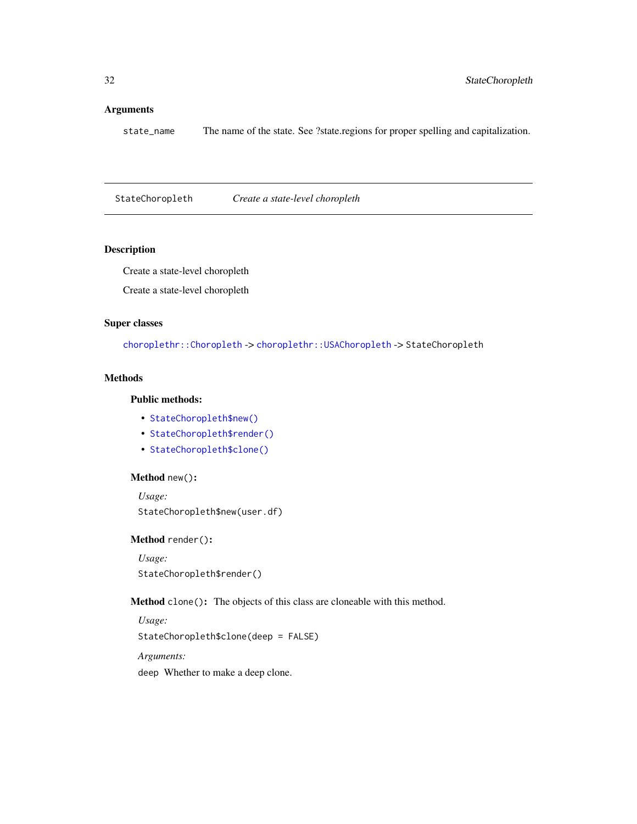<span id="page-31-0"></span>state\_name The name of the state. See ?state.regions for proper spelling and capitalization.

StateChoropleth *Create a state-level choropleth*

# Description

Create a state-level choropleth

Create a state-level choropleth

#### Super classes

[choroplethr::Choropleth](#page-0-0) -> [choroplethr::USAChoropleth](#page-0-0) -> StateChoropleth

# Methods

# Public methods:

- [StateChoropleth\\$new\(\)](#page-2-1)
- [StateChoropleth\\$render\(\)](#page-8-0)
- [StateChoropleth\\$clone\(\)](#page-2-2)

#### Method new():

*Usage:* StateChoropleth\$new(user.df)

#### Method render():

*Usage:* StateChoropleth\$render()

Method clone(): The objects of this class are cloneable with this method.

*Usage:*

StateChoropleth\$clone(deep = FALSE)

*Arguments:*

deep Whether to make a deep clone.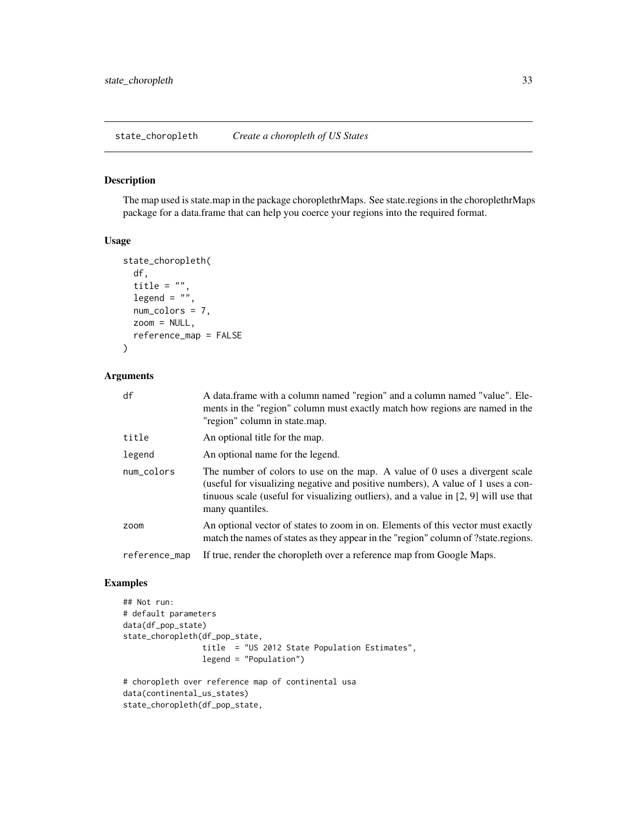#### <span id="page-32-0"></span>Description

The map used is state.map in the package choroplethrMaps. See state.regions in the choroplethrMaps package for a data.frame that can help you coerce your regions into the required format.

# Usage

```
state_choropleth(
 df,
  title = ",
 legend = ",
 num_colors = 7,
 zoom = NULL,
 reference_map = FALSE
)
```
# Arguments

| df            | A data.frame with a column named "region" and a column named "value". Ele-<br>ments in the "region" column must exactly match how regions are named in the<br>"region" column in state.map.                                                                                  |
|---------------|------------------------------------------------------------------------------------------------------------------------------------------------------------------------------------------------------------------------------------------------------------------------------|
| title         | An optional title for the map.                                                                                                                                                                                                                                               |
| legend        | An optional name for the legend.                                                                                                                                                                                                                                             |
| num_colors    | The number of colors to use on the map. A value of 0 uses a divergent scale<br>(useful for visualizing negative and positive numbers), A value of 1 uses a con-<br>tinuous scale (useful for visualizing outliers), and a value in $[2, 9]$ will use that<br>many quantiles. |
| zoom          | An optional vector of states to zoom in on. Elements of this vector must exactly<br>match the names of states as they appear in the "region" column of ?state.regions.                                                                                                       |
| reference_map | If true, render the choropleth over a reference map from Google Maps.                                                                                                                                                                                                        |
|               |                                                                                                                                                                                                                                                                              |

# Examples

```
## Not run:
# default parameters
data(df_pop_state)
state_choropleth(df_pop_state,
                 title = "US 2012 State Population Estimates",
                 legend = "Population")
# choropleth over reference map of continental usa
data(continental_us_states)
state_choropleth(df_pop_state,
```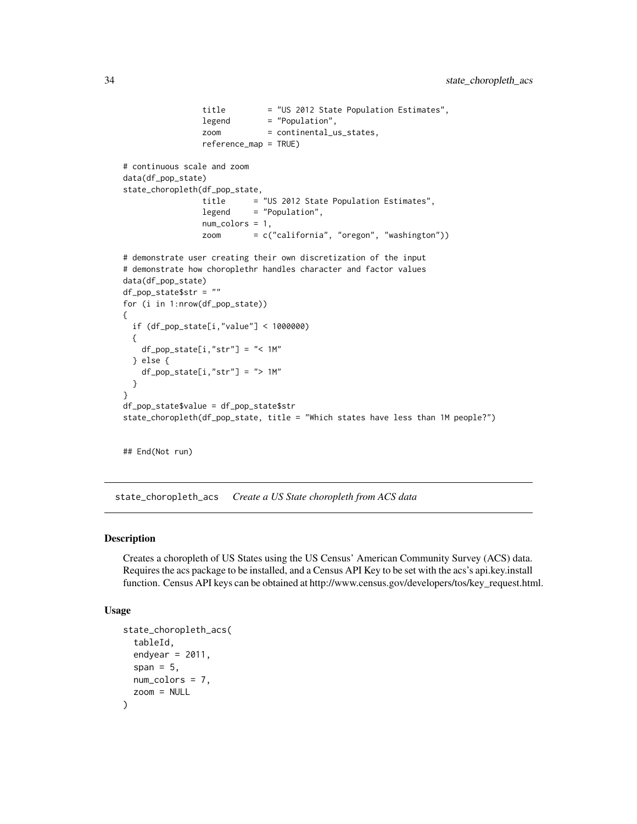```
title = "US 2012 State Population Estimates",
                legend = "Population",
                zoom = continental_us_states,
                reference_map = TRUE)
# continuous scale and zoom
data(df_pop_state)
state_choropleth(df_pop_state,
                title = "US 2012 State Population Estimates",
                legend = "Population",
                num_colors = 1,
                zoom = c("california", "oregon", "washington"))
# demonstrate user creating their own discretization of the input
# demonstrate how choroplethr handles character and factor values
data(df_pop_state)
df_pop_state$str = ""
for (i in 1:nrow(df_pop_state))
{
 if (df_pop_state[i,"value"] < 1000000)
 {
   df\_pop\_state[i, "str"] = "< 1M"} else {
   df_pop_state[i,"str"] = "> 1M"
 }
}
df_pop_state$value = df_pop_state$str
state_choropleth(df_pop_state, title = "Which states have less than 1M people?")
## End(Not run)
```
state\_choropleth\_acs *Create a US State choropleth from ACS data*

# Description

Creates a choropleth of US States using the US Census' American Community Survey (ACS) data. Requires the acs package to be installed, and a Census API Key to be set with the acs's api.key.install function. Census API keys can be obtained at http://www.census.gov/developers/tos/key\_request.html.

```
state_choropleth_acs(
  tableId,
  endyear = 2011,
  span = 5,
 num_colors = 7,
  zoom = NULL
)
```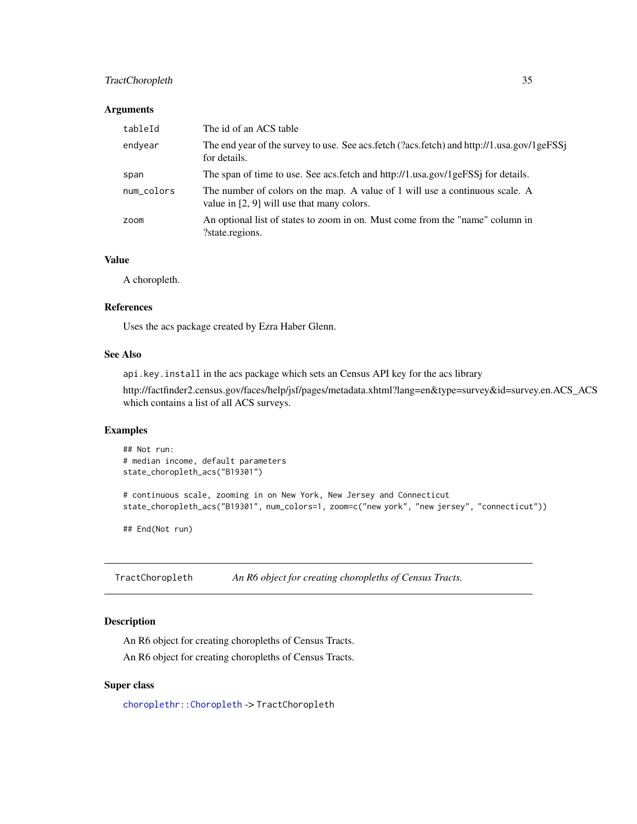# <span id="page-34-0"></span>TractChoropleth 35

# Arguments

| tableId    | The id of an ACS table                                                                                                       |
|------------|------------------------------------------------------------------------------------------------------------------------------|
| endyear    | The end year of the survey to use. See acs. fetch (?acs. fetch) and http://1.usa.gov/1geFSSj<br>for details.                 |
| span       | The span of time to use. See acs. fetch and http://1.usa.gov/1geFSS for details.                                             |
| num_colors | The number of colors on the map. A value of 1 will use a continuous scale. A<br>value in $[2, 9]$ will use that many colors. |
| zoom       | An optional list of states to zoom in on. Must come from the "name" column in<br>?state.regions.                             |

#### Value

A choropleth.

#### References

Uses the acs package created by Ezra Haber Glenn.

# See Also

api.key.install in the acs package which sets an Census API key for the acs library

http://factfinder2.census.gov/faces/help/jsf/pages/metadata.xhtml?lang=en&type=survey&id=survey.en.ACS\_ACS which contains a list of all ACS surveys.

#### Examples

```
## Not run:
# median income, default parameters
state_choropleth_acs("B19301")
# continuous scale, zooming in on New York, New Jersey and Connecticut
state_choropleth_acs("B19301", num_colors=1, zoom=c("new york", "new jersey", "connecticut"))
## End(Not run)
```
TractChoropleth *An R6 object for creating choropleths of Census Tracts.*

# Description

An R6 object for creating choropleths of Census Tracts.

An R6 object for creating choropleths of Census Tracts.

# Super class

[choroplethr::Choropleth](#page-0-0) -> TractChoropleth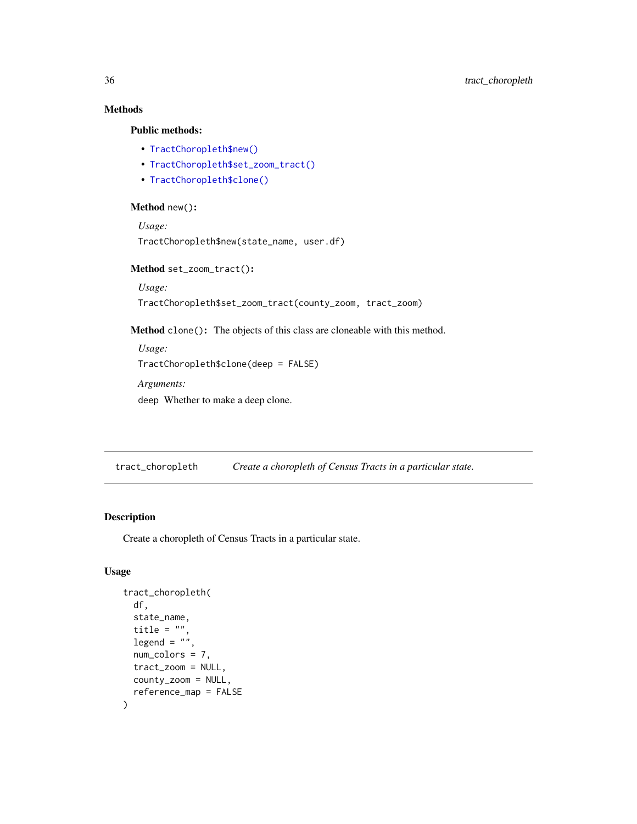# Methods

# Public methods:

- [TractChoropleth\\$new\(\)](#page-2-1)
- [TractChoropleth\\$set\\_zoom\\_tract\(\)](#page-35-1)
- [TractChoropleth\\$clone\(\)](#page-2-2)

# Method new():

#### *Usage:*

TractChoropleth\$new(state\_name, user.df)

### <span id="page-35-1"></span>Method set\_zoom\_tract():

```
Usage:
TractChoropleth$set_zoom_tract(county_zoom, tract_zoom)
```
Method clone(): The objects of this class are cloneable with this method.

*Usage:* TractChoropleth\$clone(deep = FALSE) *Arguments:* deep Whether to make a deep clone.

tract\_choropleth *Create a choropleth of Census Tracts in a particular state.*

# Description

Create a choropleth of Census Tracts in a particular state.

```
tract_choropleth(
 df,
  state_name,
  title = ",
 legend = ",
 num_colors = 7,
 tract_zoom = NULL,
 county_zoom = NULL,
  reference_map = FALSE
\mathcal{E}
```
<span id="page-35-0"></span>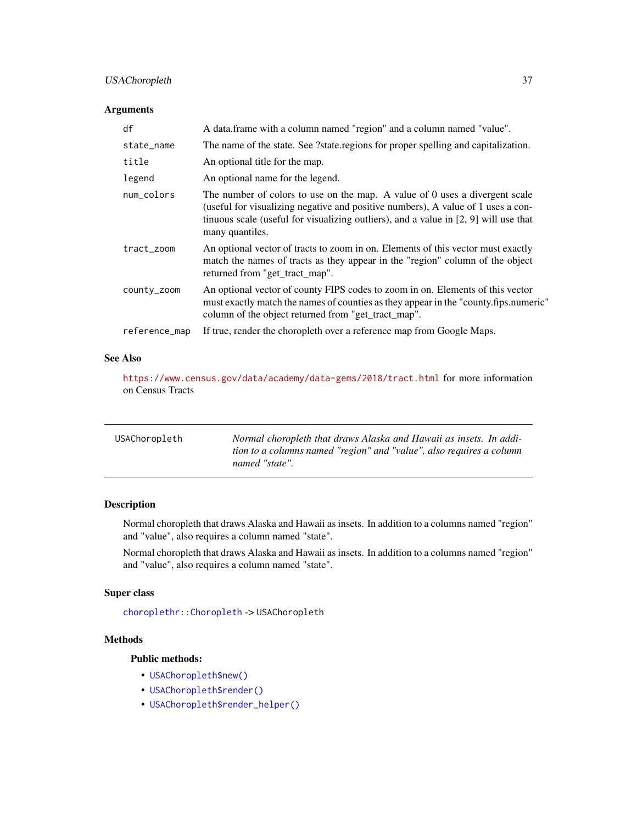# <span id="page-36-0"></span>USAChoropleth 37

# Arguments

| df            | A data.frame with a column named "region" and a column named "value".                                                                                                                                                                                                        |
|---------------|------------------------------------------------------------------------------------------------------------------------------------------------------------------------------------------------------------------------------------------------------------------------------|
| state_name    | The name of the state. See ?state.regions for proper spelling and capitalization.                                                                                                                                                                                            |
| title         | An optional title for the map.                                                                                                                                                                                                                                               |
| legend        | An optional name for the legend.                                                                                                                                                                                                                                             |
| num_colors    | The number of colors to use on the map. A value of 0 uses a divergent scale<br>(useful for visualizing negative and positive numbers), A value of 1 uses a con-<br>tinuous scale (useful for visualizing outliers), and a value in $[2, 9]$ will use that<br>many quantiles. |
| tract_zoom    | An optional vector of tracts to zoom in on. Elements of this vector must exactly<br>match the names of tracts as they appear in the "region" column of the object<br>returned from "get_tract_map".                                                                          |
| county_zoom   | An optional vector of county FIPS codes to zoom in on. Elements of this vector<br>must exactly match the names of counties as they appear in the "county.fips.numeric"<br>column of the object returned from "get_tract_map".                                                |
| reference_map | If true, render the choropleth over a reference map from Google Maps.                                                                                                                                                                                                        |

# See Also

<https://www.census.gov/data/academy/data-gems/2018/tract.html> for more information on Census Tracts

| USAChoropleth | Normal choropleth that draws Alaska and Hawaii as insets. In addi-<br>tion to a columns named "region" and "value", also requires a column |
|---------------|--------------------------------------------------------------------------------------------------------------------------------------------|
|               | named "state".                                                                                                                             |

# Description

Normal choropleth that draws Alaska and Hawaii as insets. In addition to a columns named "region" and "value", also requires a column named "state".

Normal choropleth that draws Alaska and Hawaii as insets. In addition to a columns named "region" and "value", also requires a column named "state".

# Super class

[choroplethr::Choropleth](#page-0-0) -> USAChoropleth

#### Methods

# Public methods:

- [USAChoropleth\\$new\(\)](#page-2-1)
- [USAChoropleth\\$render\(\)](#page-8-0)
- [USAChoropleth\\$render\\_helper\(\)](#page-37-1)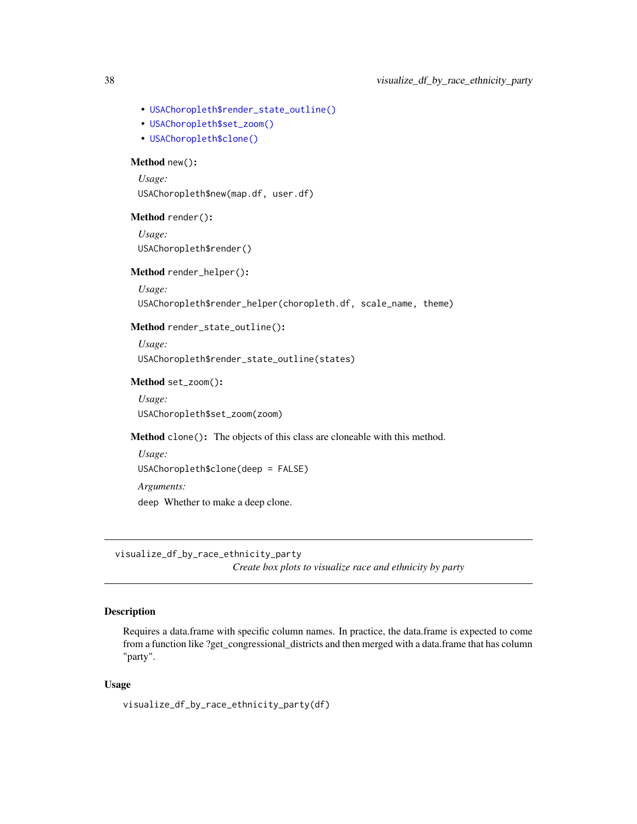- [USAChoropleth\\$render\\_state\\_outline\(\)](#page-37-2)
- [USAChoropleth\\$set\\_zoom\(\)](#page-9-7)
- [USAChoropleth\\$clone\(\)](#page-2-2)

# Method new():

```
Usage:
USAChoropleth$new(map.df, user.df)
```
Method render():

*Usage:* USAChoropleth\$render()

<span id="page-37-1"></span>Method render\_helper():

*Usage:* USAChoropleth\$render\_helper(choropleth.df, scale\_name, theme)

<span id="page-37-2"></span>Method render\_state\_outline():

*Usage:* USAChoropleth\$render\_state\_outline(states)

Method set\_zoom():

*Usage:* USAChoropleth\$set\_zoom(zoom)

Method clone(): The objects of this class are cloneable with this method.

```
Usage:
USAChoropleth$clone(deep = FALSE)
Arguments:
deep Whether to make a deep clone.
```
visualize\_df\_by\_race\_ethnicity\_party *Create box plots to visualize race and ethnicity by party*

# Description

Requires a data.frame with specific column names. In practice, the data.frame is expected to come from a function like ?get\_congressional\_districts and then merged with a data.frame that has column "party".

# Usage

visualize\_df\_by\_race\_ethnicity\_party(df)

<span id="page-37-0"></span>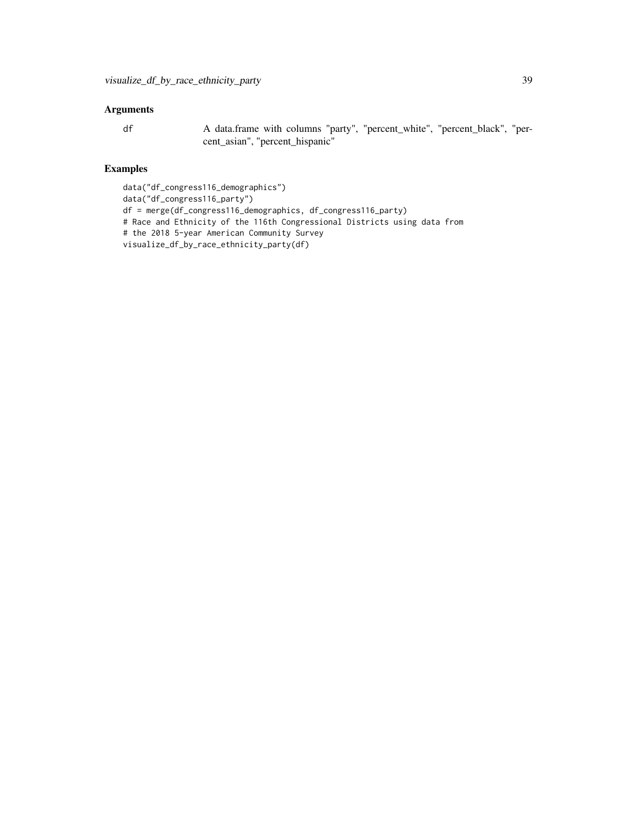df A data.frame with columns "party", "percent\_white", "percent\_black", "percent\_asian", "percent\_hispanic"

# Examples

data("df\_congress116\_demographics") data("df\_congress116\_party") df = merge(df\_congress116\_demographics, df\_congress116\_party) # Race and Ethnicity of the 116th Congressional Districts using data from # the 2018 5-year American Community Survey visualize\_df\_by\_race\_ethnicity\_party(df)